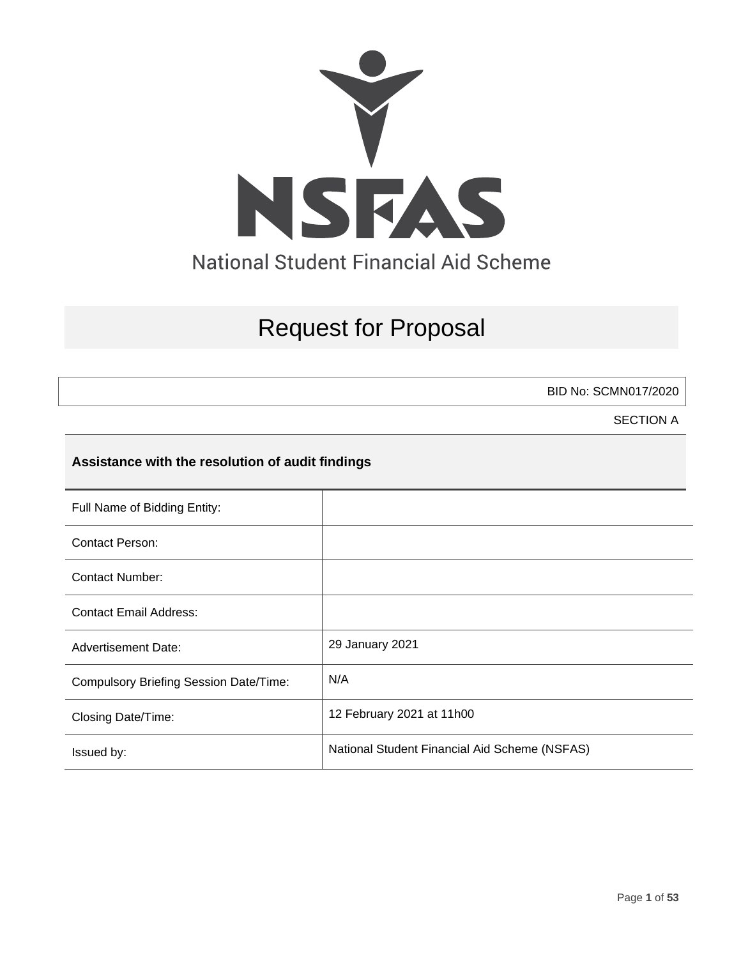

# Request for Proposal

BID No: SCMN017/2020

SECTION A

### **Assistance with the resolution of audit findings**

| Full Name of Bidding Entity:                  |                                               |
|-----------------------------------------------|-----------------------------------------------|
| Contact Person:                               |                                               |
| <b>Contact Number:</b>                        |                                               |
| <b>Contact Email Address:</b>                 |                                               |
| <b>Advertisement Date:</b>                    | 29 January 2021                               |
| <b>Compulsory Briefing Session Date/Time:</b> | N/A                                           |
| Closing Date/Time:                            | 12 February 2021 at 11h00                     |
| Issued by:                                    | National Student Financial Aid Scheme (NSFAS) |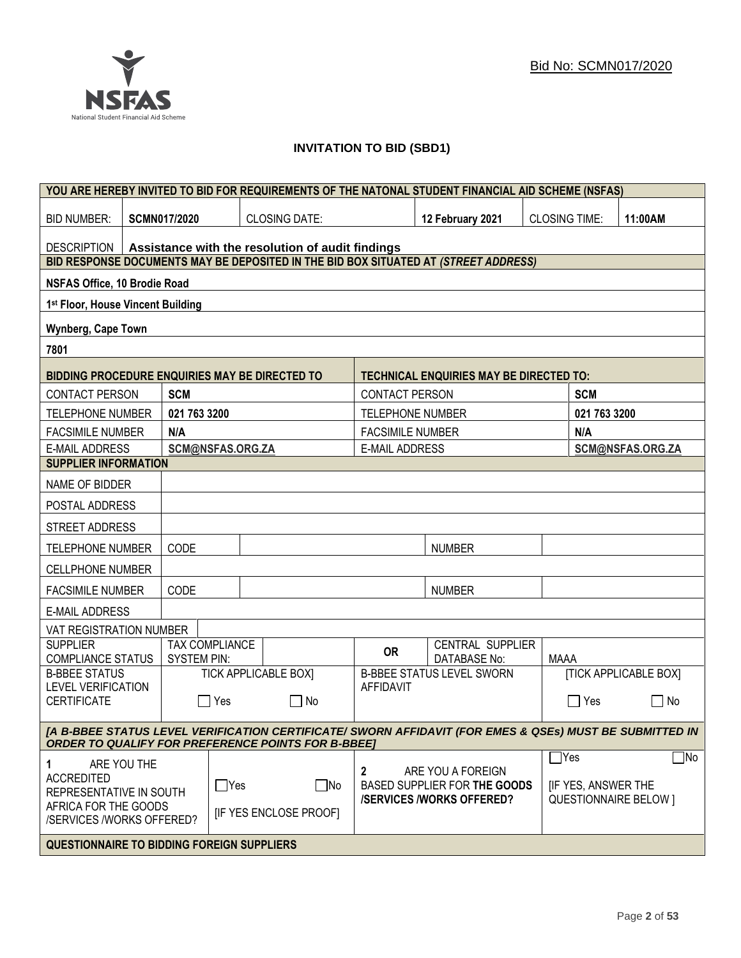### **INVITATION TO BID (SBD1)**

| YOU ARE HEREBY INVITED TO BID FOR REQUIREMENTS OF THE NATONAL STUDENT FINANCIAL AID SCHEME (NSFAS)      |                                                           |                  |                             |                                 |                                                |                           |               |                              |
|---------------------------------------------------------------------------------------------------------|-----------------------------------------------------------|------------------|-----------------------------|---------------------------------|------------------------------------------------|---------------------------|---------------|------------------------------|
| <b>BID NUMBER:</b>                                                                                      | <b>SCMN017/2020</b>                                       |                  | <b>CLOSING DATE:</b>        |                                 | 12 February 2021                               | <b>CLOSING TIME:</b>      |               | 11:00AM                      |
| <b>DESCRIPTION</b>                                                                                      | Assistance with the resolution of audit findings          |                  |                             |                                 |                                                |                           |               |                              |
| BID RESPONSE DOCUMENTS MAY BE DEPOSITED IN THE BID BOX SITUATED AT (STREET ADDRESS)                     |                                                           |                  |                             |                                 |                                                |                           |               |                              |
| NSFAS Office, 10 Brodie Road                                                                            |                                                           |                  |                             |                                 |                                                |                           |               |                              |
| 1st Floor, House Vincent Building                                                                       |                                                           |                  |                             |                                 |                                                |                           |               |                              |
| Wynberg, Cape Town                                                                                      |                                                           |                  |                             |                                 |                                                |                           |               |                              |
| 7801                                                                                                    |                                                           |                  |                             |                                 |                                                |                           |               |                              |
| BIDDING PROCEDURE ENQUIRIES MAY BE DIRECTED TO                                                          |                                                           |                  |                             |                                 | <b>TECHNICAL ENQUIRIES MAY BE DIRECTED TO:</b> |                           |               |                              |
| <b>CONTACT PERSON</b>                                                                                   | <b>SCM</b>                                                |                  |                             | <b>CONTACT PERSON</b>           |                                                |                           | <b>SCM</b>    |                              |
| <b>TELEPHONE NUMBER</b>                                                                                 | 021 763 3200                                              |                  |                             | <b>TELEPHONE NUMBER</b>         |                                                |                           | 021 763 3200  |                              |
| <b>FACSIMILE NUMBER</b>                                                                                 | N/A                                                       |                  |                             | <b>FACSIMILE NUMBER</b>         |                                                |                           | N/A           |                              |
| <b>E-MAIL ADDRESS</b>                                                                                   |                                                           | SCM@NSFAS.ORG.ZA |                             | <b>E-MAIL ADDRESS</b>           |                                                |                           |               | SCM@NSFAS.ORG.ZA             |
| <b>SUPPLIER INFORMATION</b>                                                                             |                                                           |                  |                             |                                 |                                                |                           |               |                              |
| NAME OF BIDDER                                                                                          |                                                           |                  |                             |                                 |                                                |                           |               |                              |
| POSTAL ADDRESS                                                                                          |                                                           |                  |                             |                                 |                                                |                           |               |                              |
| STREET ADDRESS                                                                                          |                                                           |                  |                             |                                 |                                                |                           |               |                              |
| <b>TELEPHONE NUMBER</b>                                                                                 | CODE                                                      |                  |                             |                                 | <b>NUMBER</b>                                  |                           |               |                              |
| <b>CELLPHONE NUMBER</b>                                                                                 |                                                           |                  |                             |                                 |                                                |                           |               |                              |
| <b>FACSIMILE NUMBER</b>                                                                                 | CODE                                                      |                  |                             |                                 | <b>NUMBER</b>                                  |                           |               |                              |
| <b>E-MAIL ADDRESS</b>                                                                                   |                                                           |                  |                             |                                 |                                                |                           |               |                              |
| VAT REGISTRATION NUMBER                                                                                 |                                                           |                  |                             |                                 |                                                |                           |               |                              |
| <b>SUPPLIER</b><br>COMPLIANCE STATUS                                                                    | <b>SYSTEM PIN:</b>                                        | TAX COMPLIANCE   |                             | <b>OR</b>                       | CENTRAL SUPPLIER<br>DATABASE No:               | MAAA                      |               |                              |
| <b>B-BBEE STATUS</b>                                                                                    |                                                           |                  | <b>TICK APPLICABLE BOX]</b> |                                 | <b>B-BBEE STATUS LEVEL SWORN</b>               |                           |               | <b>[TICK APPLICABLE BOX]</b> |
| <b>LEVEL VERIFICATION</b><br><b>CERTIFICATE</b>                                                         |                                                           | Yes              | $\Box$ No                   | <b>AFFIDAVIT</b>                |                                                |                           | Yes           | No<br>$\mathcal{L}$          |
| [A B-BBEE STATUS LEVEL VERIFICATION CERTIFICATE/ SWORN AFFIDAVIT (FOR EMES & QSEs) MUST BE SUBMITTED IN |                                                           |                  |                             |                                 |                                                |                           |               |                              |
|                                                                                                         | <b>ORDER TO QUALIFY FOR PREFERENCE POINTS FOR B-BBEE]</b> |                  |                             |                                 |                                                |                           |               |                              |
| ARE YOU THE<br>1.                                                                                       |                                                           |                  |                             | 2                               | ARE YOU A FOREIGN                              |                           | $\exists$ Yes | $\exists$ No                 |
| <b>ACCREDITED</b><br>$\Box$ Yes                                                                         |                                                           | $\square$ No     |                             | BASED SUPPLIER FOR THE GOODS    |                                                | <b>IF YES, ANSWER THE</b> |               |                              |
| REPRESENTATIVE IN SOUTH<br>AFRICA FOR THE GOODS                                                         |                                                           |                  |                             | <b>/SERVICES/WORKS OFFERED?</b> |                                                |                           |               | <b>QUESTIONNAIRE BELOW 1</b> |
| /SERVICES /WORKS OFFERED?                                                                               |                                                           |                  | [IF YES ENCLOSE PROOF]      |                                 |                                                |                           |               |                              |
| <b>QUESTIONNAIRE TO BIDDING FOREIGN SUPPLIERS</b>                                                       |                                                           |                  |                             |                                 |                                                |                           |               |                              |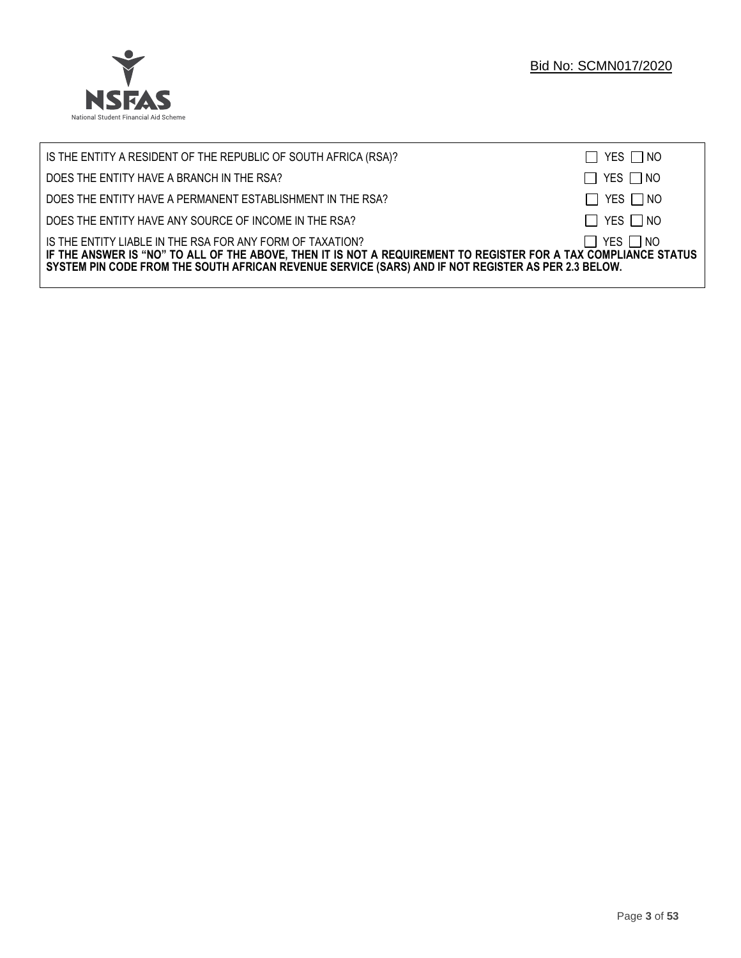

| IS THE ENTITY A RESIDENT OF THE REPUBLIC OF SOUTH AFRICA (RSA)?                                                                                                                                                                                                                     | $\Box$ YES $\Box$ NO |
|-------------------------------------------------------------------------------------------------------------------------------------------------------------------------------------------------------------------------------------------------------------------------------------|----------------------|
| DOES THE ENTITY HAVE A BRANCH IN THE RSA?                                                                                                                                                                                                                                           | $\Box$ YES $\Box$ NO |
| DOES THE ENTITY HAVE A PERMANENT ESTABLISHMENT IN THE RSA?                                                                                                                                                                                                                          | $\Box$ YES $\Box$ NO |
| DOES THE ENTITY HAVE ANY SOURCE OF INCOME IN THE RSA?                                                                                                                                                                                                                               | $\Box$ YES $\Box$ NO |
| IS THE ENTITY LIABLE IN THE RSA FOR ANY FORM OF TAXATION?<br>IF THE ANSWER IS "NO" TO ALL OF THE ABOVE, THEN IT IS NOT A REQUIREMENT TO REGISTER FOR A TAX COMPLIANCE STATUS<br>SYSTEM PIN CODE FROM THE SOUTH AFRICAN REVENUE SERVICE (SARS) AND IF NOT REGISTER AS PER 2.3 BELOW. | $\Box$ YES $\Box$ NO |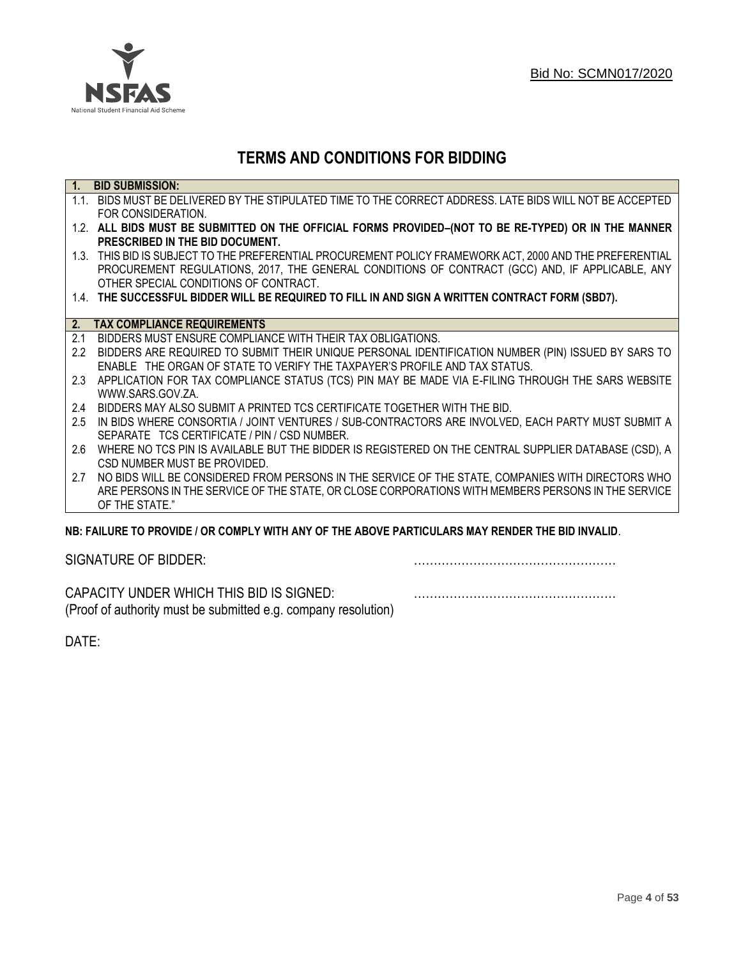

## **TERMS AND CONDITIONS FOR BIDDING**

| $\overline{1}$ . | <b>BID SUBMISSION:</b>                                                                                    |
|------------------|-----------------------------------------------------------------------------------------------------------|
|                  | 1.1. BIDS MUST BE DELIVERED BY THE STIPULATED TIME TO THE CORRECT ADDRESS. LATE BIDS WILL NOT BE ACCEPTED |
|                  | FOR CONSIDERATION.                                                                                        |
|                  | 1.2. ALL BIDS MUST BE SUBMITTED ON THE OFFICIAL FORMS PROVIDED-(NOT TO BE RE-TYPED) OR IN THE MANNER      |
|                  | PRESCRIBED IN THE BID DOCUMENT.                                                                           |
|                  | 1.3. THIS BID IS SUBJECT TO THE PREFERENTIAL PROCUREMENT POLICY FRAMEWORK ACT, 2000 AND THE PREFERENTIAL  |
|                  | PROCUREMENT REGULATIONS, 2017, THE GENERAL CONDITIONS OF CONTRACT (GCC) AND, IF APPLICABLE, ANY           |
|                  | OTHER SPECIAL CONDITIONS OF CONTRACT.                                                                     |
|                  | 1.4. THE SUCCESSFUL BIDDER WILL BE REQUIRED TO FILL IN AND SIGN A WRITTEN CONTRACT FORM (SBD7).           |
|                  |                                                                                                           |
| 2.               | <b>TAX COMPLIANCE REQUIREMENTS</b>                                                                        |
| 2.1              | BIDDERS MUST ENSURE COMPLIANCE WITH THEIR TAX OBLIGATIONS.                                                |
| $2.2^{\circ}$    | BIDDERS ARE REQUIRED TO SUBMIT THEIR UNIQUE PERSONAL IDENTIFICATION NUMBER (PIN) ISSUED BY SARS TO        |
|                  | ENABLE THE ORGAN OF STATE TO VERIFY THE TAXPAYER'S PROFILE AND TAX STATUS.                                |
| 2.3              | APPLICATION FOR TAX COMPLIANCE STATUS (TCS) PIN MAY BE MADE VIA E-FILING THROUGH THE SARS WEBSITE         |
|                  | WWW.SARS.GOV.ZA.                                                                                          |
| 2.4              | BIDDERS MAY ALSO SUBMIT A PRINTED TCS CERTIFICATE TOGETHER WITH THE BID.                                  |
| 2.5              | IN BIDS WHERE CONSORTIA / JOINT VENTURES / SUB-CONTRACTORS ARE INVOLVED, EACH PARTY MUST SUBMIT A         |
|                  | SEPARATE TCS CERTIFICATE / PIN / CSD NUMBER.                                                              |
| 2.6              | WHERE NO TCS PIN IS AVAILABLE BUT THE BIDDER IS REGISTERED ON THE CENTRAL SUPPLIER DATABASE (CSD), A      |
|                  | CSD NUMBER MUST BE PROVIDED.                                                                              |
| 2.7              | NO BIDS WILL BE CONSIDERED FROM PERSONS IN THE SERVICE OF THE STATE, COMPANIES WITH DIRECTORS WHO         |
|                  | ARE PERSONS IN THE SERVICE OF THE STATE, OR CLOSE CORPORATIONS WITH MEMBERS PERSONS IN THE SERVICE        |
|                  | OF THE STATE."                                                                                            |
|                  | ND: EAII HDE TO DDOVINE I OD COMDI V WITH ANY OE THE ADOVE DADTICHI ADG MAY DENNED THE DIN INVALIN        |

### **NB: FAILURE TO PROVIDE / OR COMPLY WITH ANY OF THE ABOVE PARTICULARS MAY RENDER THE BID INVALID**.

|  | SIGNATURE OF BIDDER: |
|--|----------------------|
|--|----------------------|

SIGNATURE OF BIDDER: ……………………………………………

CAPACITY UNDER WHICH THIS BID IS SIGNED: …………………………………………… (Proof of authority must be submitted e.g. company resolution)

DATE: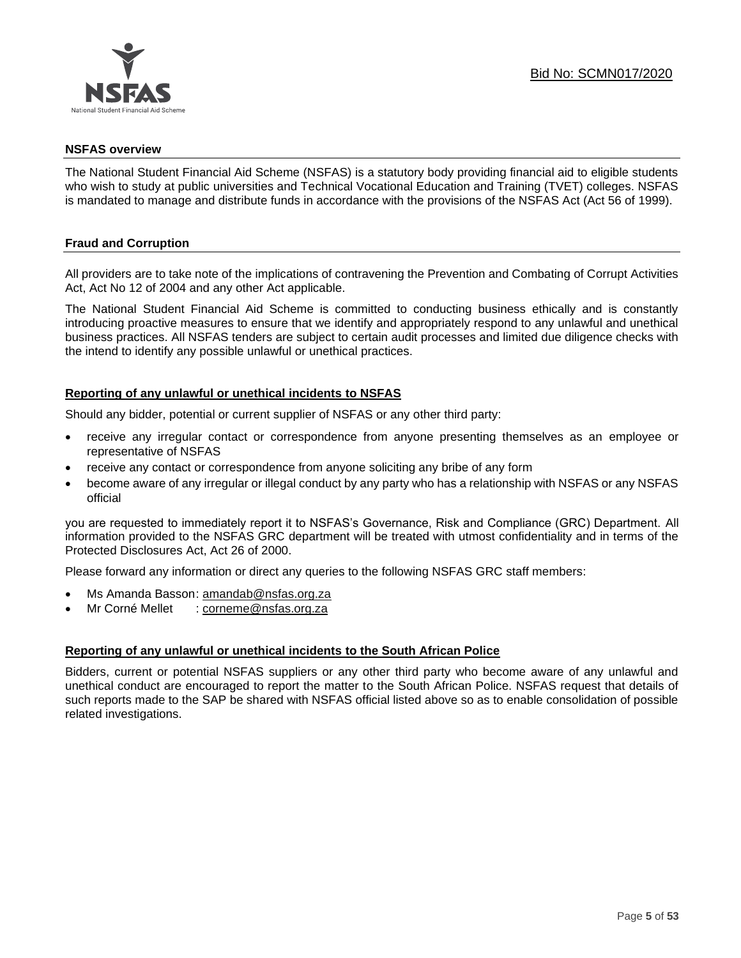

### **NSFAS overview**

The National Student Financial Aid Scheme (NSFAS) is a statutory body providing financial aid to eligible students who wish to study at public universities and Technical Vocational Education and Training (TVET) colleges. NSFAS is mandated to manage and distribute funds in accordance with the provisions of the NSFAS Act (Act 56 of 1999).

### **Fraud and Corruption**

All providers are to take note of the implications of contravening the Prevention and Combating of Corrupt Activities Act, Act No 12 of 2004 and any other Act applicable.

The National Student Financial Aid Scheme is committed to conducting business ethically and is constantly introducing proactive measures to ensure that we identify and appropriately respond to any unlawful and unethical business practices. All NSFAS tenders are subject to certain audit processes and limited due diligence checks with the intend to identify any possible unlawful or unethical practices.

### **Reporting of any unlawful or unethical incidents to NSFAS**

Should any bidder, potential or current supplier of NSFAS or any other third party:

- receive any irregular contact or correspondence from anyone presenting themselves as an employee or representative of NSFAS
- receive any contact or correspondence from anyone soliciting any bribe of any form
- become aware of any irregular or illegal conduct by any party who has a relationship with NSFAS or any NSFAS official

you are requested to immediately report it to NSFAS's Governance, Risk and Compliance (GRC) Department. All information provided to the NSFAS GRC department will be treated with utmost confidentiality and in terms of the Protected Disclosures Act, Act 26 of 2000.

Please forward any information or direct any queries to the following NSFAS GRC staff members:

- Ms Amanda Basson: [amandab@nsfas.org.za](mailto:amandab@nsfas.org.za)
- Mr Corné Mellet : [corneme@nsfas.org.za](mailto:corneme@nsfas.org.za)

### **Reporting of any unlawful or unethical incidents to the South African Police**

Bidders, current or potential NSFAS suppliers or any other third party who become aware of any unlawful and unethical conduct are encouraged to report the matter to the South African Police. NSFAS request that details of such reports made to the SAP be shared with NSFAS official listed above so as to enable consolidation of possible related investigations.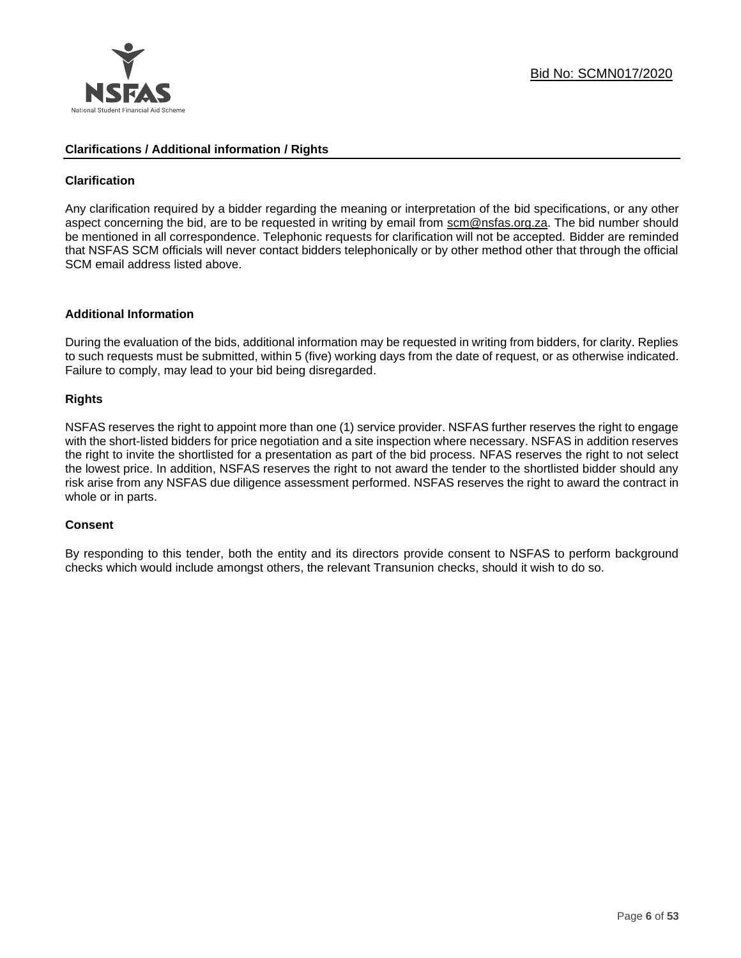

### **Clarifications / Additional information / Rights**

### **Clarification**

Any clarification required by a bidder regarding the meaning or interpretation of the bid specifications, or any other aspect concerning the bid, are to be requested in writing by email from scm@nsfas.org.za. The bid number should be mentioned in all correspondence. Telephonic requests for clarification will not be accepted. Bidder are reminded that NSFAS SCM officials will never contact bidders telephonically or by other method other that through the official SCM email address listed above.

### **Additional Information**

During the evaluation of the bids, additional information may be requested in writing from bidders, for clarity. Replies to such requests must be submitted, within 5 (five) working days from the date of request, or as otherwise indicated. Failure to comply, may lead to your bid being disregarded.

### **Rights**

NSFAS reserves the right to appoint more than one (1) service provider. NSFAS further reserves the right to engage with the short-listed bidders for price negotiation and a site inspection where necessary. NSFAS in addition reserves the right to invite the shortlisted for a presentation as part of the bid process. NFAS reserves the right to not select the lowest price. In addition, NSFAS reserves the right to not award the tender to the shortlisted bidder should any risk arise from any NSFAS due diligence assessment performed. NSFAS reserves the right to award the contract in whole or in parts.

### **Consent**

By responding to this tender, both the entity and its directors provide consent to NSFAS to perform background checks which would include amongst others, the relevant Transunion checks, should it wish to do so.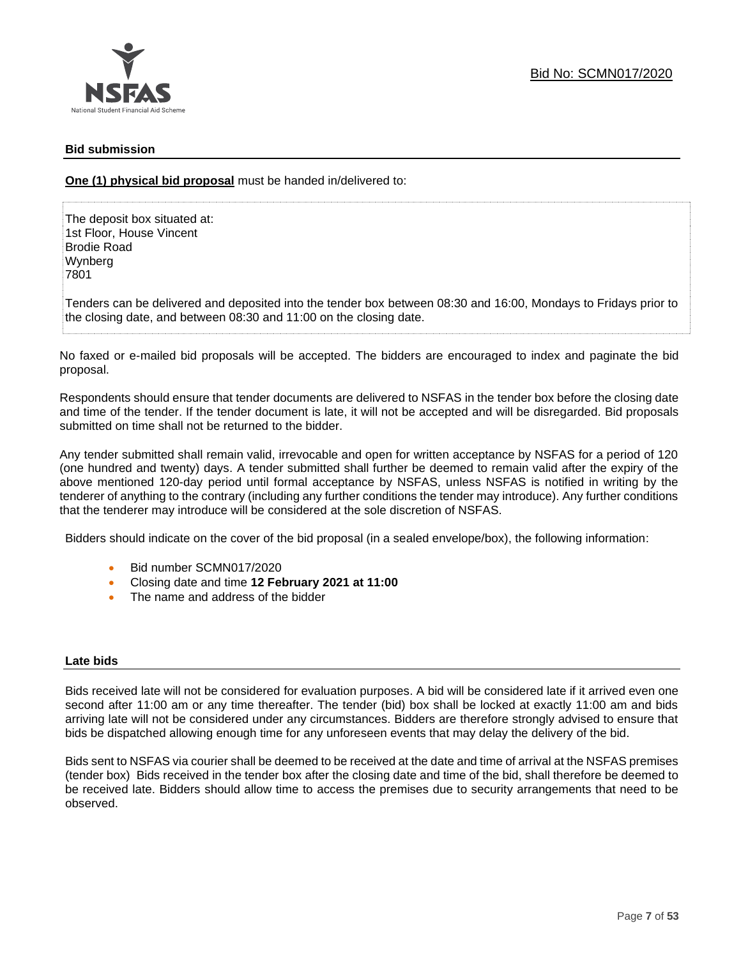### **Bid submission**

**One (1) physical bid proposal** must be handed in/delivered to:

The deposit box situated at: 1st Floor, House Vincent Brodie Road Wynberg 7801

Tenders can be delivered and deposited into the tender box between 08:30 and 16:00, Mondays to Fridays prior to the closing date, and between 08:30 and 11:00 on the closing date.

No faxed or e-mailed bid proposals will be accepted. The bidders are encouraged to index and paginate the bid proposal.

Respondents should ensure that tender documents are delivered to NSFAS in the tender box before the closing date and time of the tender. If the tender document is late, it will not be accepted and will be disregarded. Bid proposals submitted on time shall not be returned to the bidder.

Any tender submitted shall remain valid, irrevocable and open for written acceptance by NSFAS for a period of 120 (one hundred and twenty) days. A tender submitted shall further be deemed to remain valid after the expiry of the above mentioned 120-day period until formal acceptance by NSFAS, unless NSFAS is notified in writing by the tenderer of anything to the contrary (including any further conditions the tender may introduce). Any further conditions that the tenderer may introduce will be considered at the sole discretion of NSFAS.

Bidders should indicate on the cover of the bid proposal (in a sealed envelope/box), the following information:

- Bid number SCMN017/2020
- Closing date and time **12 February 2021 at 11:00**
- The name and address of the bidder

### **Late bids**

Bids received late will not be considered for evaluation purposes. A bid will be considered late if it arrived even one second after 11:00 am or any time thereafter. The tender (bid) box shall be locked at exactly 11:00 am and bids arriving late will not be considered under any circumstances. Bidders are therefore strongly advised to ensure that bids be dispatched allowing enough time for any unforeseen events that may delay the delivery of the bid.

Bids sent to NSFAS via courier shall be deemed to be received at the date and time of arrival at the NSFAS premises (tender box) Bids received in the tender box after the closing date and time of the bid, shall therefore be deemed to be received late. Bidders should allow time to access the premises due to security arrangements that need to be observed.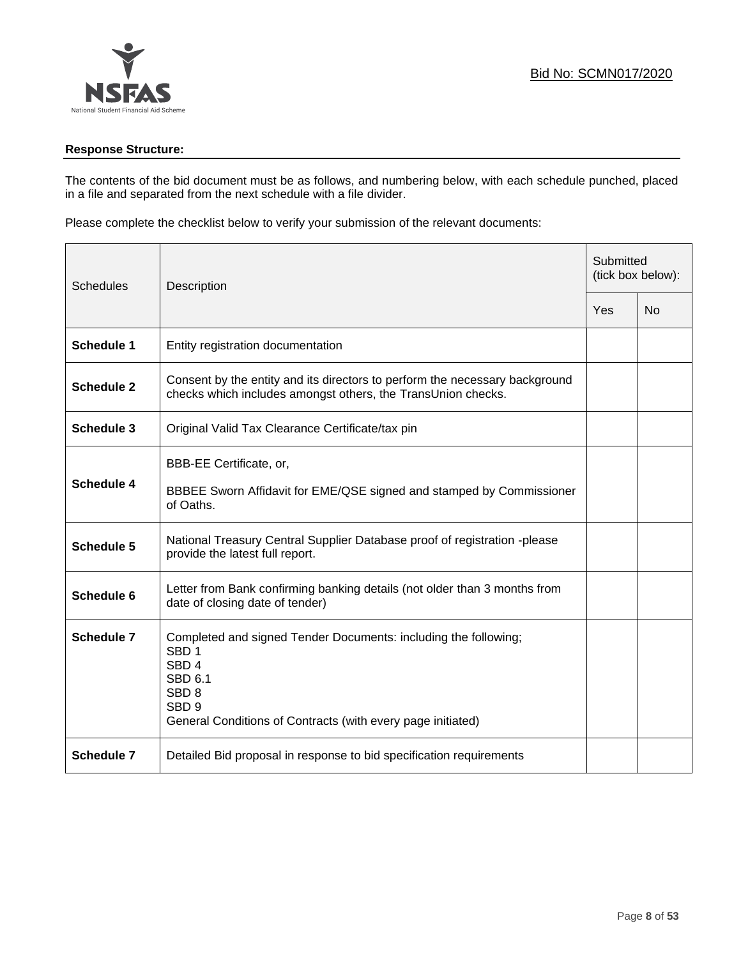

### **Response Structure:**

The contents of the bid document must be as follows, and numbering below, with each schedule punched, placed in a file and separated from the next schedule with a file divider.

Please complete the checklist below to verify your submission of the relevant documents:

| <b>Schedules</b>  | Description                                                                                                                                                                                                               |     | Submitted<br>(tick box below): |  |
|-------------------|---------------------------------------------------------------------------------------------------------------------------------------------------------------------------------------------------------------------------|-----|--------------------------------|--|
|                   |                                                                                                                                                                                                                           | Yes | <b>No</b>                      |  |
| <b>Schedule 1</b> | Entity registration documentation                                                                                                                                                                                         |     |                                |  |
| <b>Schedule 2</b> | Consent by the entity and its directors to perform the necessary background<br>checks which includes amongst others, the TransUnion checks.                                                                               |     |                                |  |
| Schedule 3        | Original Valid Tax Clearance Certificate/tax pin                                                                                                                                                                          |     |                                |  |
| <b>Schedule 4</b> | BBB-EE Certificate, or,<br>BBBEE Sworn Affidavit for EME/QSE signed and stamped by Commissioner<br>of Oaths.                                                                                                              |     |                                |  |
| Schedule 5        | National Treasury Central Supplier Database proof of registration -please<br>provide the latest full report.                                                                                                              |     |                                |  |
| Schedule 6        | Letter from Bank confirming banking details (not older than 3 months from<br>date of closing date of tender)                                                                                                              |     |                                |  |
| Schedule 7        | Completed and signed Tender Documents: including the following;<br>SBD <sub>1</sub><br>SBD <sub>4</sub><br>SBD 6.1<br>SBD <sub>8</sub><br>SBD <sub>9</sub><br>General Conditions of Contracts (with every page initiated) |     |                                |  |
| <b>Schedule 7</b> | Detailed Bid proposal in response to bid specification requirements                                                                                                                                                       |     |                                |  |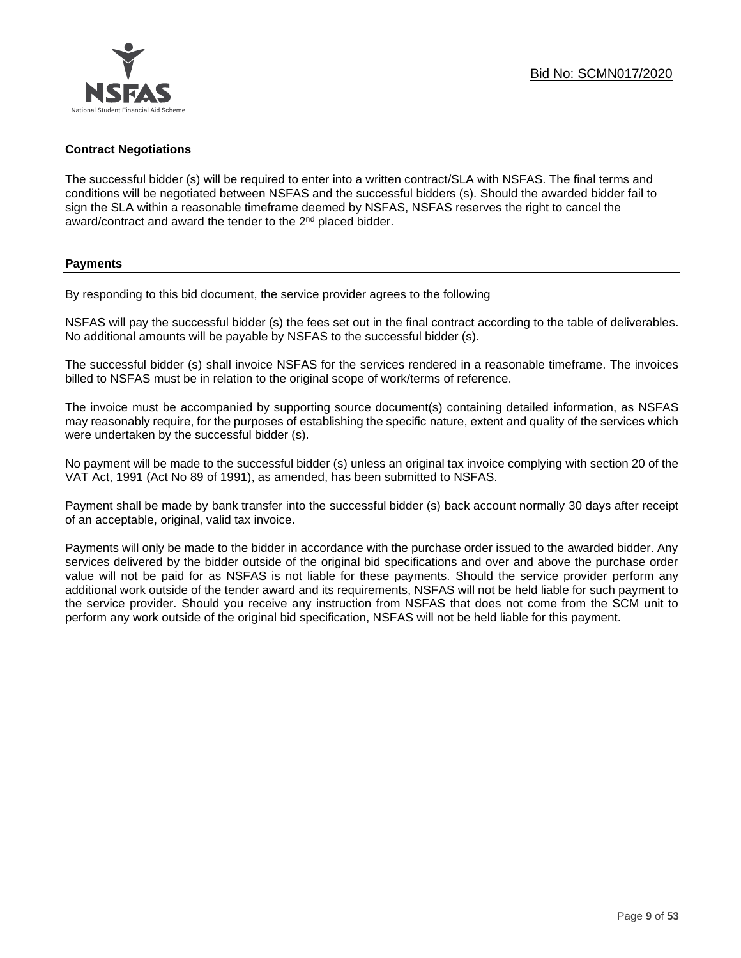### **Contract Negotiations**

The successful bidder (s) will be required to enter into a written contract/SLA with NSFAS. The final terms and conditions will be negotiated between NSFAS and the successful bidders (s). Should the awarded bidder fail to sign the SLA within a reasonable timeframe deemed by NSFAS, NSFAS reserves the right to cancel the award/contract and award the tender to the 2<sup>nd</sup> placed bidder.

### **Payments**

By responding to this bid document, the service provider agrees to the following

NSFAS will pay the successful bidder (s) the fees set out in the final contract according to the table of deliverables. No additional amounts will be payable by NSFAS to the successful bidder (s).

The successful bidder (s) shall invoice NSFAS for the services rendered in a reasonable timeframe. The invoices billed to NSFAS must be in relation to the original scope of work/terms of reference.

The invoice must be accompanied by supporting source document(s) containing detailed information, as NSFAS may reasonably require, for the purposes of establishing the specific nature, extent and quality of the services which were undertaken by the successful bidder (s).

No payment will be made to the successful bidder (s) unless an original tax invoice complying with section 20 of the VAT Act, 1991 (Act No 89 of 1991), as amended, has been submitted to NSFAS.

Payment shall be made by bank transfer into the successful bidder (s) back account normally 30 days after receipt of an acceptable, original, valid tax invoice.

Payments will only be made to the bidder in accordance with the purchase order issued to the awarded bidder. Any services delivered by the bidder outside of the original bid specifications and over and above the purchase order value will not be paid for as NSFAS is not liable for these payments. Should the service provider perform any additional work outside of the tender award and its requirements, NSFAS will not be held liable for such payment to the service provider. Should you receive any instruction from NSFAS that does not come from the SCM unit to perform any work outside of the original bid specification, NSFAS will not be held liable for this payment.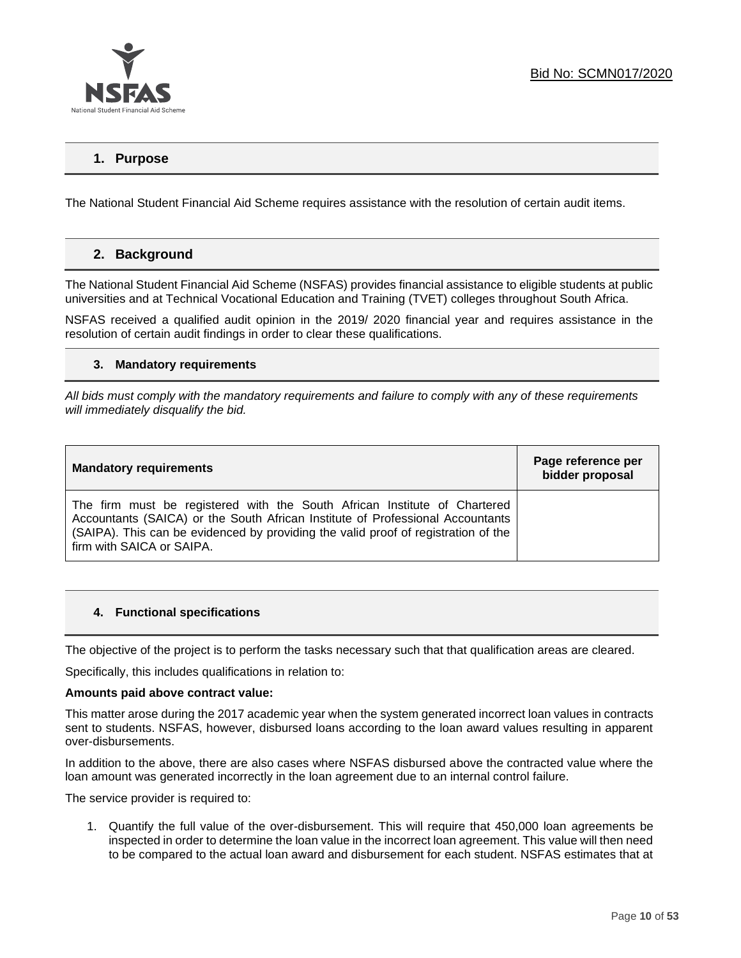

### **1. Purpose**

The National Student Financial Aid Scheme requires assistance with the resolution of certain audit items.

### **2. Background**

The National Student Financial Aid Scheme (NSFAS) provides financial assistance to eligible students at public universities and at Technical Vocational Education and Training (TVET) colleges throughout South Africa.

NSFAS received a qualified audit opinion in the 2019/ 2020 financial year and requires assistance in the resolution of certain audit findings in order to clear these qualifications.

### **3. Mandatory requirements**

*All bids must comply with the mandatory requirements and failure to comply with any of these requirements will immediately disqualify the bid.*

| <b>Mandatory requirements</b>                                                                                                                                                                                                                                                  | Page reference per<br>bidder proposal |
|--------------------------------------------------------------------------------------------------------------------------------------------------------------------------------------------------------------------------------------------------------------------------------|---------------------------------------|
| The firm must be registered with the South African Institute of Chartered<br>Accountants (SAICA) or the South African Institute of Professional Accountants<br>(SAIPA). This can be evidenced by providing the valid proof of registration of the<br>firm with SAICA or SAIPA. |                                       |

### **4. Functional specifications**

The objective of the project is to perform the tasks necessary such that that qualification areas are cleared.

Specifically, this includes qualifications in relation to:

#### **Amounts paid above contract value:**

This matter arose during the 2017 academic year when the system generated incorrect loan values in contracts sent to students. NSFAS, however, disbursed loans according to the loan award values resulting in apparent over-disbursements.

In addition to the above, there are also cases where NSFAS disbursed above the contracted value where the loan amount was generated incorrectly in the loan agreement due to an internal control failure.

The service provider is required to:

1. Quantify the full value of the over-disbursement. This will require that 450,000 loan agreements be inspected in order to determine the loan value in the incorrect loan agreement. This value will then need to be compared to the actual loan award and disbursement for each student. NSFAS estimates that at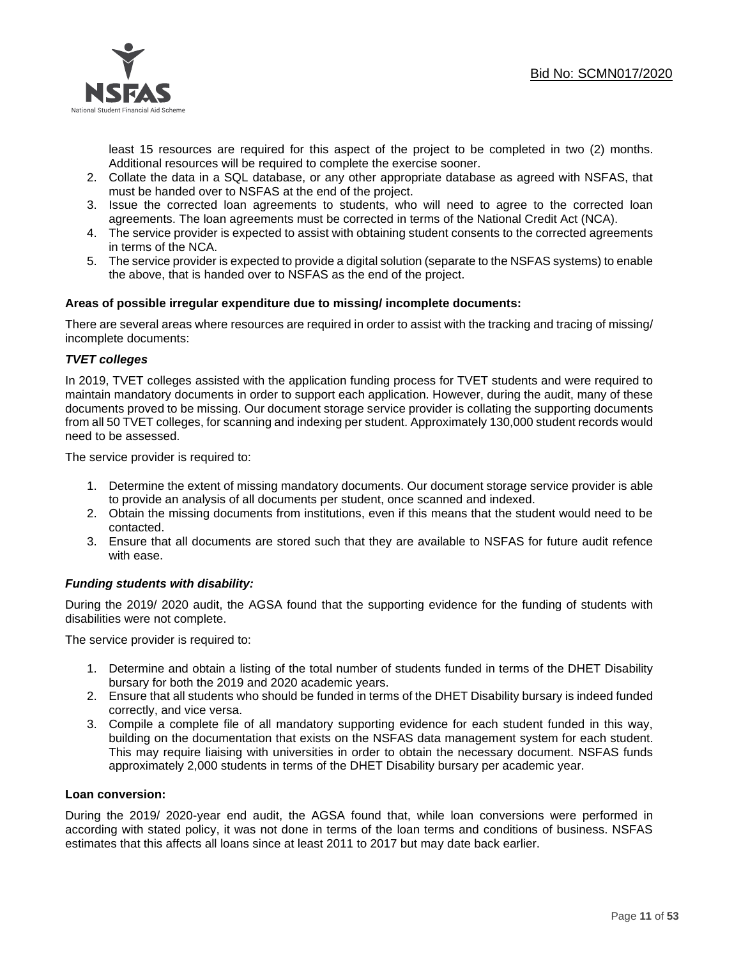

least 15 resources are required for this aspect of the project to be completed in two (2) months. Additional resources will be required to complete the exercise sooner.

- 2. Collate the data in a SQL database, or any other appropriate database as agreed with NSFAS, that must be handed over to NSFAS at the end of the project.
- 3. Issue the corrected loan agreements to students, who will need to agree to the corrected loan agreements. The loan agreements must be corrected in terms of the National Credit Act (NCA).
- 4. The service provider is expected to assist with obtaining student consents to the corrected agreements in terms of the NCA.
- 5. The service provider is expected to provide a digital solution (separate to the NSFAS systems) to enable the above, that is handed over to NSFAS as the end of the project.

### **Areas of possible irregular expenditure due to missing/ incomplete documents:**

There are several areas where resources are required in order to assist with the tracking and tracing of missing/ incomplete documents:

### *TVET colleges*

In 2019, TVET colleges assisted with the application funding process for TVET students and were required to maintain mandatory documents in order to support each application. However, during the audit, many of these documents proved to be missing. Our document storage service provider is collating the supporting documents from all 50 TVET colleges, for scanning and indexing per student. Approximately 130,000 student records would need to be assessed.

The service provider is required to:

- 1. Determine the extent of missing mandatory documents. Our document storage service provider is able to provide an analysis of all documents per student, once scanned and indexed.
- 2. Obtain the missing documents from institutions, even if this means that the student would need to be contacted.
- 3. Ensure that all documents are stored such that they are available to NSFAS for future audit refence with ease.

### *Funding students with disability:*

During the 2019/ 2020 audit, the AGSA found that the supporting evidence for the funding of students with disabilities were not complete.

The service provider is required to:

- 1. Determine and obtain a listing of the total number of students funded in terms of the DHET Disability bursary for both the 2019 and 2020 academic years.
- 2. Ensure that all students who should be funded in terms of the DHET Disability bursary is indeed funded correctly, and vice versa.
- 3. Compile a complete file of all mandatory supporting evidence for each student funded in this way, building on the documentation that exists on the NSFAS data management system for each student. This may require liaising with universities in order to obtain the necessary document. NSFAS funds approximately 2,000 students in terms of the DHET Disability bursary per academic year.

### **Loan conversion:**

During the 2019/ 2020-year end audit, the AGSA found that, while loan conversions were performed in according with stated policy, it was not done in terms of the loan terms and conditions of business. NSFAS estimates that this affects all loans since at least 2011 to 2017 but may date back earlier.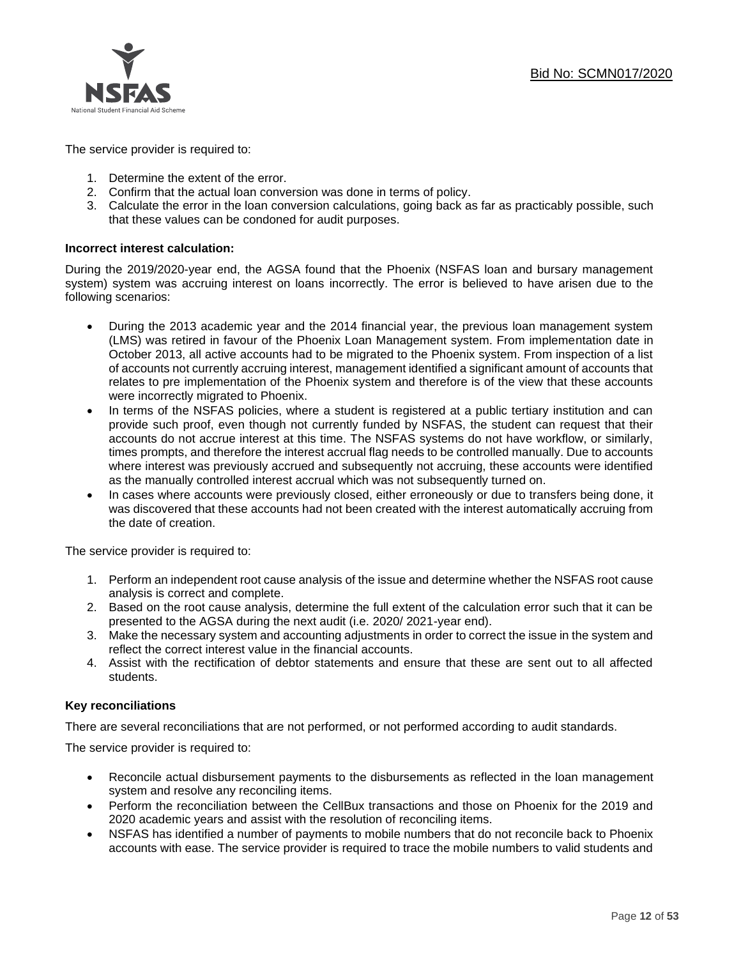

The service provider is required to:

- 1. Determine the extent of the error.
- 2. Confirm that the actual loan conversion was done in terms of policy.
- 3. Calculate the error in the loan conversion calculations, going back as far as practicably possible, such that these values can be condoned for audit purposes.

### **Incorrect interest calculation:**

During the 2019/2020-year end, the AGSA found that the Phoenix (NSFAS loan and bursary management system) system was accruing interest on loans incorrectly. The error is believed to have arisen due to the following scenarios:

- During the 2013 academic year and the 2014 financial year, the previous loan management system (LMS) was retired in favour of the Phoenix Loan Management system. From implementation date in October 2013, all active accounts had to be migrated to the Phoenix system. From inspection of a list of accounts not currently accruing interest, management identified a significant amount of accounts that relates to pre implementation of the Phoenix system and therefore is of the view that these accounts were incorrectly migrated to Phoenix.
- In terms of the NSFAS policies, where a student is registered at a public tertiary institution and can provide such proof, even though not currently funded by NSFAS, the student can request that their accounts do not accrue interest at this time. The NSFAS systems do not have workflow, or similarly, times prompts, and therefore the interest accrual flag needs to be controlled manually. Due to accounts where interest was previously accrued and subsequently not accruing, these accounts were identified as the manually controlled interest accrual which was not subsequently turned on.
- In cases where accounts were previously closed, either erroneously or due to transfers being done, it was discovered that these accounts had not been created with the interest automatically accruing from the date of creation.

The service provider is required to:

- 1. Perform an independent root cause analysis of the issue and determine whether the NSFAS root cause analysis is correct and complete.
- 2. Based on the root cause analysis, determine the full extent of the calculation error such that it can be presented to the AGSA during the next audit (i.e. 2020/ 2021-year end).
- 3. Make the necessary system and accounting adjustments in order to correct the issue in the system and reflect the correct interest value in the financial accounts.
- 4. Assist with the rectification of debtor statements and ensure that these are sent out to all affected students.

### **Key reconciliations**

There are several reconciliations that are not performed, or not performed according to audit standards.

The service provider is required to:

- Reconcile actual disbursement payments to the disbursements as reflected in the loan management system and resolve any reconciling items.
- Perform the reconciliation between the CellBux transactions and those on Phoenix for the 2019 and 2020 academic years and assist with the resolution of reconciling items.
- NSFAS has identified a number of payments to mobile numbers that do not reconcile back to Phoenix accounts with ease. The service provider is required to trace the mobile numbers to valid students and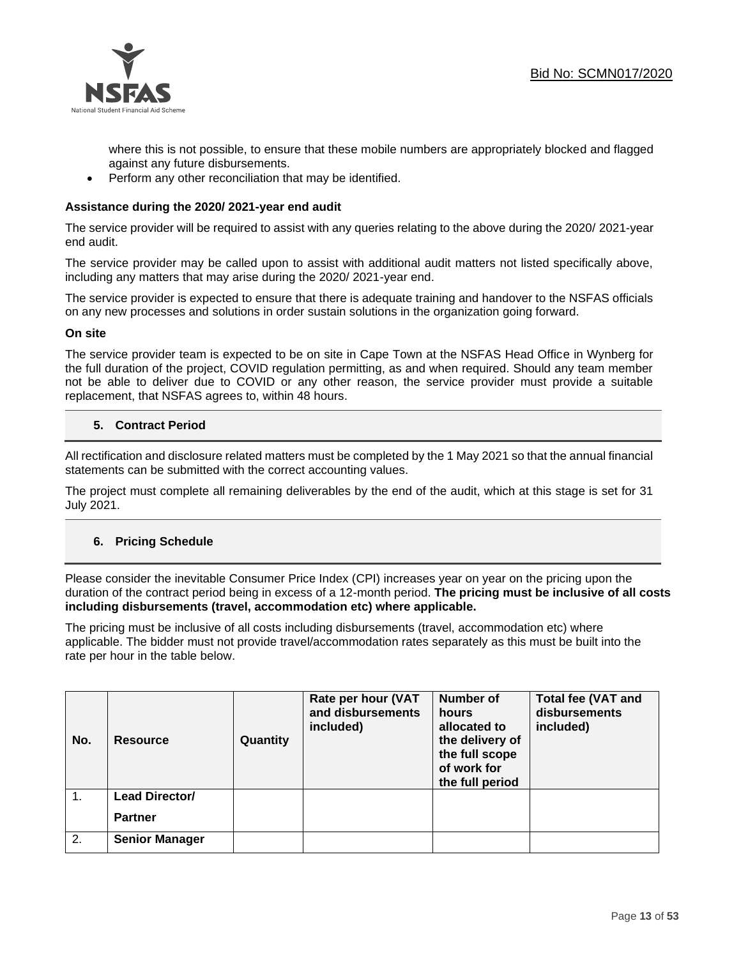

where this is not possible, to ensure that these mobile numbers are appropriately blocked and flagged against any future disbursements.

• Perform any other reconciliation that may be identified.

### **Assistance during the 2020/ 2021-year end audit**

The service provider will be required to assist with any queries relating to the above during the 2020/ 2021-year end audit.

The service provider may be called upon to assist with additional audit matters not listed specifically above, including any matters that may arise during the 2020/ 2021-year end.

The service provider is expected to ensure that there is adequate training and handover to the NSFAS officials on any new processes and solutions in order sustain solutions in the organization going forward.

### **On site**

The service provider team is expected to be on site in Cape Town at the NSFAS Head Office in Wynberg for the full duration of the project, COVID regulation permitting, as and when required. Should any team member not be able to deliver due to COVID or any other reason, the service provider must provide a suitable replacement, that NSFAS agrees to, within 48 hours.

### **5. Contract Period**

All rectification and disclosure related matters must be completed by the 1 May 2021 so that the annual financial statements can be submitted with the correct accounting values.

The project must complete all remaining deliverables by the end of the audit, which at this stage is set for 31 July 2021.

### **6. Pricing Schedule**

Please consider the inevitable Consumer Price Index (CPI) increases year on year on the pricing upon the duration of the contract period being in excess of a 12-month period. **The pricing must be inclusive of all costs including disbursements (travel, accommodation etc) where applicable.** 

The pricing must be inclusive of all costs including disbursements (travel, accommodation etc) where applicable. The bidder must not provide travel/accommodation rates separately as this must be built into the rate per hour in the table below.

| No.           | <b>Resource</b>       | Quantity | Rate per hour (VAT<br>and disbursements<br>included) | <b>Number of</b><br>hours<br>allocated to<br>the delivery of<br>the full scope<br>of work for<br>the full period | <b>Total fee (VAT and</b><br>disbursements<br>included) |
|---------------|-----------------------|----------|------------------------------------------------------|------------------------------------------------------------------------------------------------------------------|---------------------------------------------------------|
| $\mathbf 1$ . | Lead Director/        |          |                                                      |                                                                                                                  |                                                         |
|               | <b>Partner</b>        |          |                                                      |                                                                                                                  |                                                         |
| 2.            | <b>Senior Manager</b> |          |                                                      |                                                                                                                  |                                                         |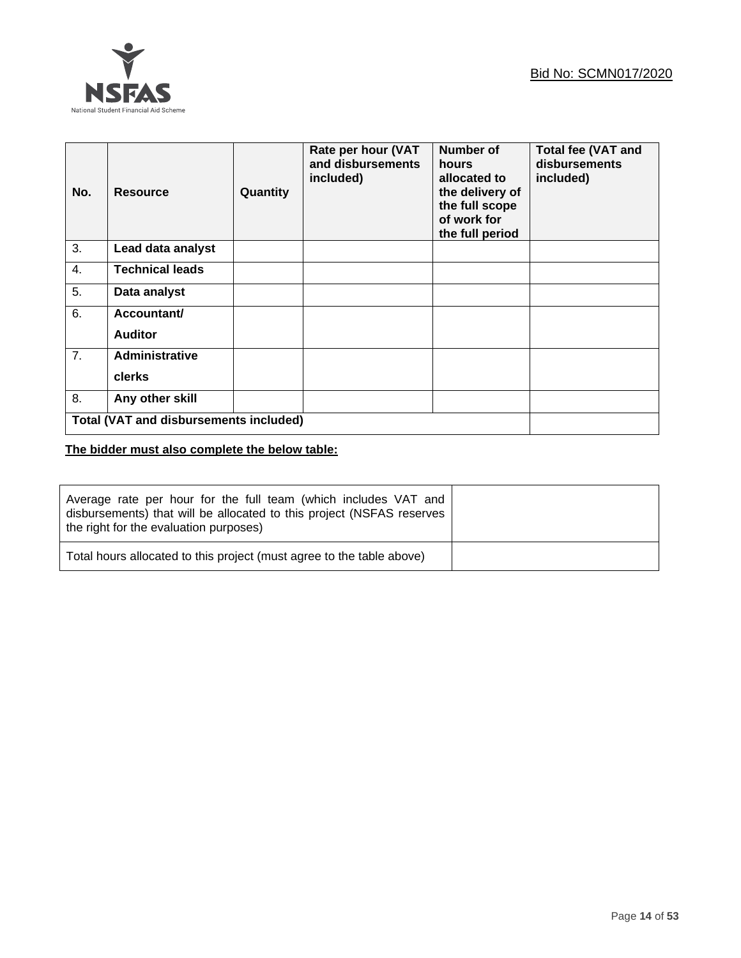

| No. | <b>Resource</b>                               | Quantity | Rate per hour (VAT<br>and disbursements<br>included) | <b>Number of</b><br>hours<br>allocated to<br>the delivery of<br>the full scope<br>of work for<br>the full period | <b>Total fee (VAT and</b><br>disbursements<br>included) |
|-----|-----------------------------------------------|----------|------------------------------------------------------|------------------------------------------------------------------------------------------------------------------|---------------------------------------------------------|
| 3.  | Lead data analyst                             |          |                                                      |                                                                                                                  |                                                         |
| 4.  | <b>Technical leads</b>                        |          |                                                      |                                                                                                                  |                                                         |
| 5.  | Data analyst                                  |          |                                                      |                                                                                                                  |                                                         |
| 6.  | Accountant/                                   |          |                                                      |                                                                                                                  |                                                         |
|     | <b>Auditor</b>                                |          |                                                      |                                                                                                                  |                                                         |
| 7.  | <b>Administrative</b>                         |          |                                                      |                                                                                                                  |                                                         |
|     | clerks                                        |          |                                                      |                                                                                                                  |                                                         |
| 8.  | Any other skill                               |          |                                                      |                                                                                                                  |                                                         |
|     | <b>Total (VAT and disbursements included)</b> |          |                                                      |                                                                                                                  |                                                         |

**The bidder must also complete the below table:**

| Average rate per hour for the full team (which includes VAT and<br>disbursements) that will be allocated to this project (NSFAS reserves<br>the right for the evaluation purposes) |  |
|------------------------------------------------------------------------------------------------------------------------------------------------------------------------------------|--|
| Total hours allocated to this project (must agree to the table above)                                                                                                              |  |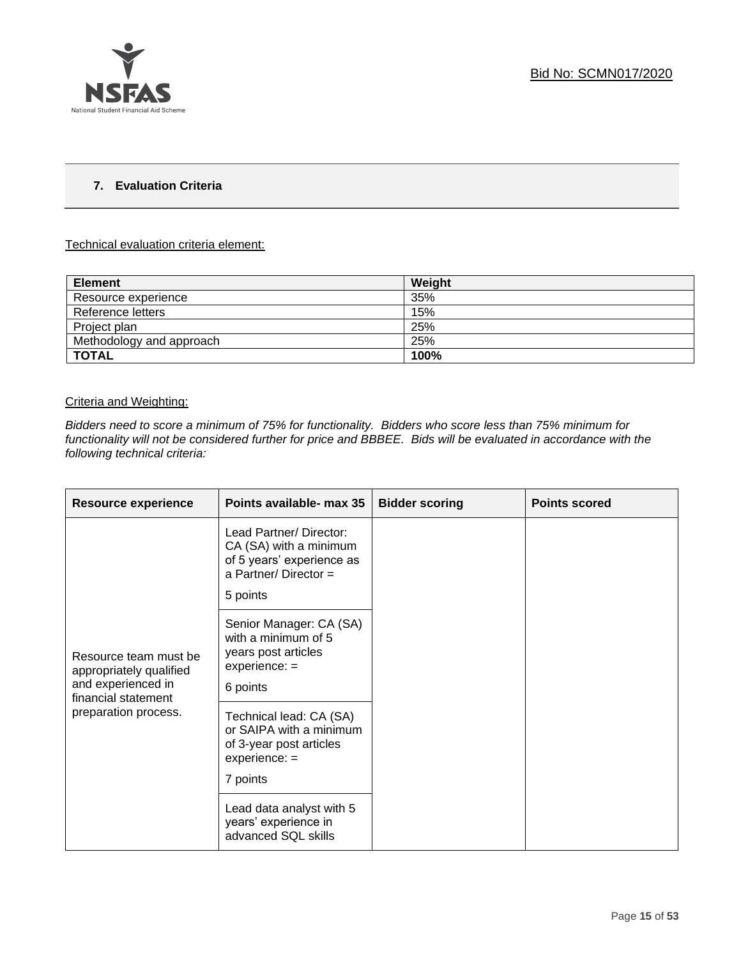

### **7. Evaluation Criteria**

### Technical evaluation criteria element:

| <b>Element</b>           | Weight |
|--------------------------|--------|
| Resource experience      | 35%    |
| Reference letters        | 15%    |
| Project plan             | 25%    |
| Methodology and approach | 25%    |
| <b>TOTAL</b>             | 100%   |

### Criteria and Weighting:

*Bidders need to score a minimum of 75% for functionality. Bidders who score less than 75% minimum for functionality will not be considered further for price and BBBEE. Bids will be evaluated in accordance with the following technical criteria:*

| Resource experience                                                                           | Points available- max 35                                                                                           | <b>Bidder scoring</b> | <b>Points scored</b> |
|-----------------------------------------------------------------------------------------------|--------------------------------------------------------------------------------------------------------------------|-----------------------|----------------------|
|                                                                                               | Lead Partner/ Director:<br>CA (SA) with a minimum<br>of 5 years' experience as<br>a Partner/Director =<br>5 points |                       |                      |
| Resource team must be<br>appropriately qualified<br>and experienced in<br>financial statement | Senior Manager: CA (SA)<br>with a minimum of 5<br>years post articles<br>$experience: =$<br>6 points               |                       |                      |
| preparation process.                                                                          | Technical lead: CA (SA)<br>or SAIPA with a minimum<br>of 3-year post articles<br>$experience: =$<br>7 points       |                       |                      |
|                                                                                               | Lead data analyst with 5<br>years' experience in<br>advanced SQL skills                                            |                       |                      |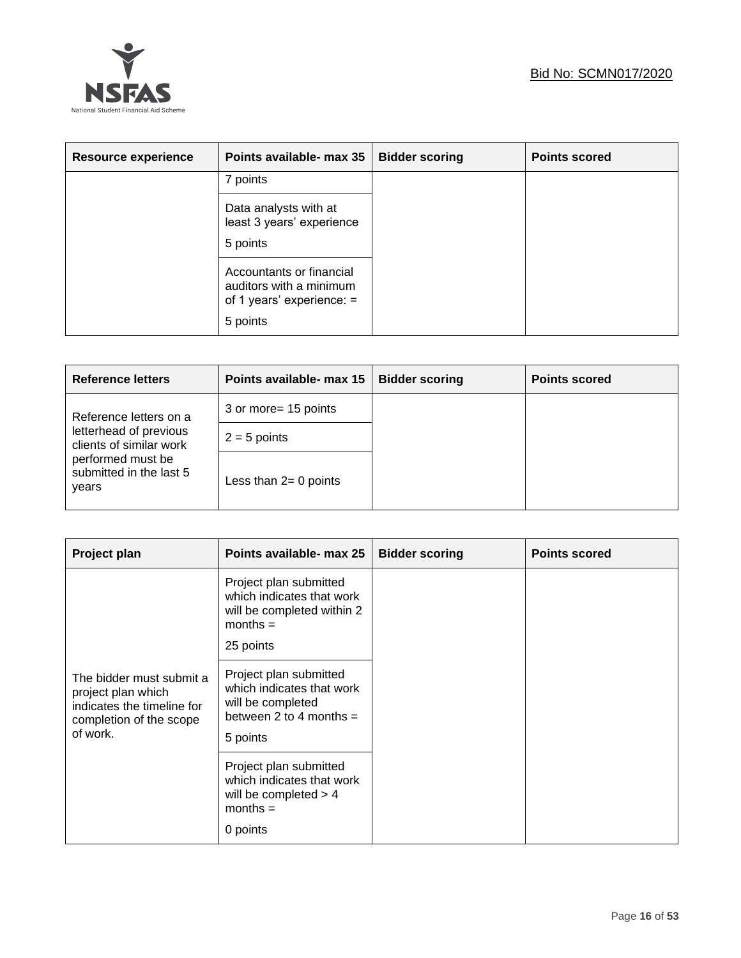

| <b>Resource experience</b> | Points available- max 35                                                                       | <b>Bidder scoring</b> | <b>Points scored</b> |
|----------------------------|------------------------------------------------------------------------------------------------|-----------------------|----------------------|
|                            | 7 points                                                                                       |                       |                      |
|                            | Data analysts with at<br>least 3 years' experience<br>5 points                                 |                       |                      |
|                            | Accountants or financial<br>auditors with a minimum<br>of 1 years' experience: $=$<br>5 points |                       |                      |

| <b>Reference letters</b>                              | Points available- max 15 | <b>Bidder scoring</b> | <b>Points scored</b> |
|-------------------------------------------------------|--------------------------|-----------------------|----------------------|
| Reference letters on a                                | 3 or more= 15 points     |                       |                      |
| letterhead of previous<br>clients of similar work     | $2 = 5$ points           |                       |                      |
| performed must be<br>submitted in the last 5<br>years | Less than $2=0$ points   |                       |                      |

| Project plan                                                                                                        | Points available- max 25                                                                                          | <b>Bidder scoring</b> | <b>Points scored</b> |
|---------------------------------------------------------------------------------------------------------------------|-------------------------------------------------------------------------------------------------------------------|-----------------------|----------------------|
|                                                                                                                     | Project plan submitted<br>which indicates that work<br>will be completed within 2<br>$months =$<br>25 points      |                       |                      |
| The bidder must submit a<br>project plan which<br>indicates the timeline for<br>completion of the scope<br>of work. | Project plan submitted<br>which indicates that work<br>will be completed<br>between 2 to 4 months $=$<br>5 points |                       |                      |
|                                                                                                                     | Project plan submitted<br>which indicates that work<br>will be completed $> 4$<br>$months =$<br>0 points          |                       |                      |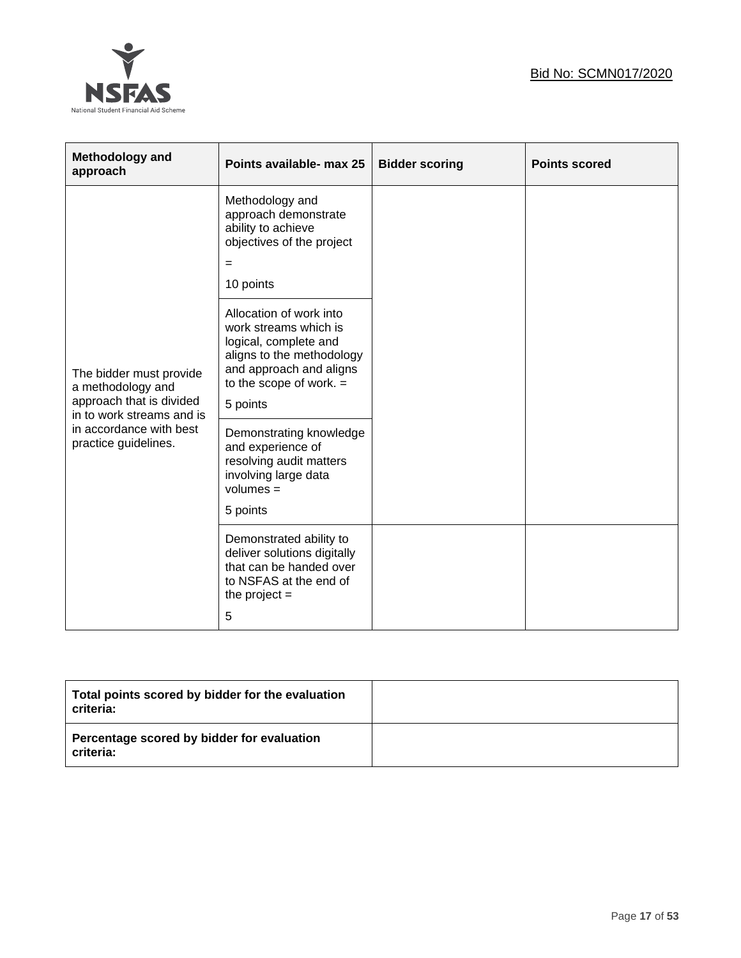

| Methodology and<br>approach                                                                           | Points available- max 25                                                                                                                                                   | <b>Bidder scoring</b> | <b>Points scored</b> |
|-------------------------------------------------------------------------------------------------------|----------------------------------------------------------------------------------------------------------------------------------------------------------------------------|-----------------------|----------------------|
|                                                                                                       | Methodology and<br>approach demonstrate<br>ability to achieve<br>objectives of the project<br>$=$<br>10 points                                                             |                       |                      |
| The bidder must provide<br>a methodology and<br>approach that is divided<br>in to work streams and is | Allocation of work into<br>work streams which is<br>logical, complete and<br>aligns to the methodology<br>and approach and aligns<br>to the scope of work. $=$<br>5 points |                       |                      |
| in accordance with best<br>practice guidelines.                                                       | Demonstrating knowledge<br>and experience of<br>resolving audit matters<br>involving large data<br>$volumes =$<br>5 points                                                 |                       |                      |
|                                                                                                       | Demonstrated ability to<br>deliver solutions digitally<br>that can be handed over<br>to NSFAS at the end of<br>the project $=$<br>5                                        |                       |                      |

| Total points scored by bidder for the evaluation<br>criteria: |  |
|---------------------------------------------------------------|--|
| Percentage scored by bidder for evaluation<br>criteria:       |  |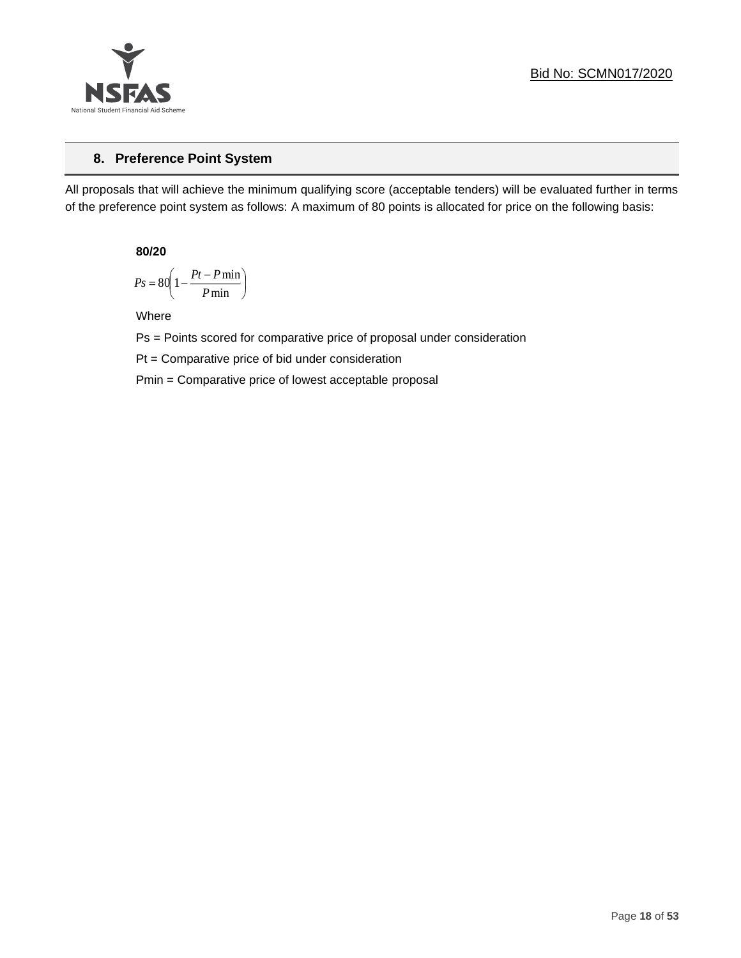

### **8. Preference Point System**

All proposals that will achieve the minimum qualifying score (acceptable tenders) will be evaluated further in terms of the preference point system as follows: A maximum of 80 points is allocated for price on the following basis:

**80/20**

$$
Ps = 80 \left( 1 - \frac{Pt - P \min}{P \min} \right)
$$

Where

Ps = Points scored for comparative price of proposal under consideration

Pt = Comparative price of bid under consideration

Pmin = Comparative price of lowest acceptable proposal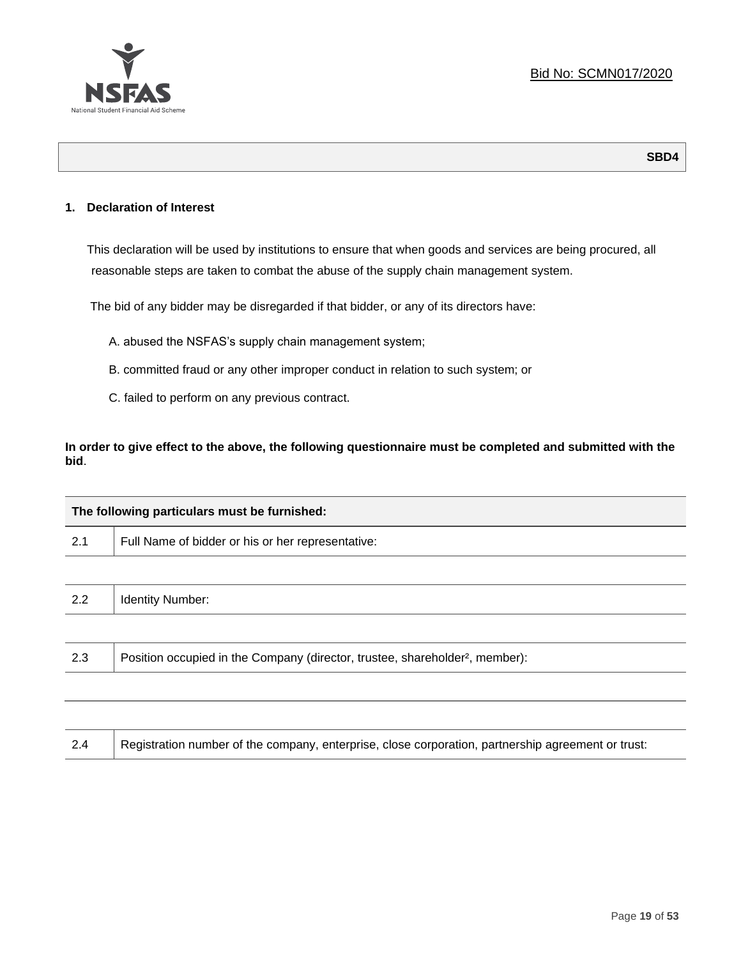

### **1. Declaration of Interest**

This declaration will be used by institutions to ensure that when goods and services are being procured, all reasonable steps are taken to combat the abuse of the supply chain management system.

The bid of any bidder may be disregarded if that bidder, or any of its directors have:

- A. abused the NSFAS's supply chain management system;
- B. committed fraud or any other improper conduct in relation to such system; or
- C. failed to perform on any previous contract.

**In order to give effect to the above, the following questionnaire must be completed and submitted with the bid**.

| The following particulars must be furnished: |                                                                                          |  |
|----------------------------------------------|------------------------------------------------------------------------------------------|--|
| 2.1                                          | Full Name of bidder or his or her representative:                                        |  |
|                                              |                                                                                          |  |
| 2.2                                          | <b>Identity Number:</b>                                                                  |  |
|                                              |                                                                                          |  |
| 2.3                                          | Position occupied in the Company (director, trustee, shareholder <sup>2</sup> , member): |  |
|                                              |                                                                                          |  |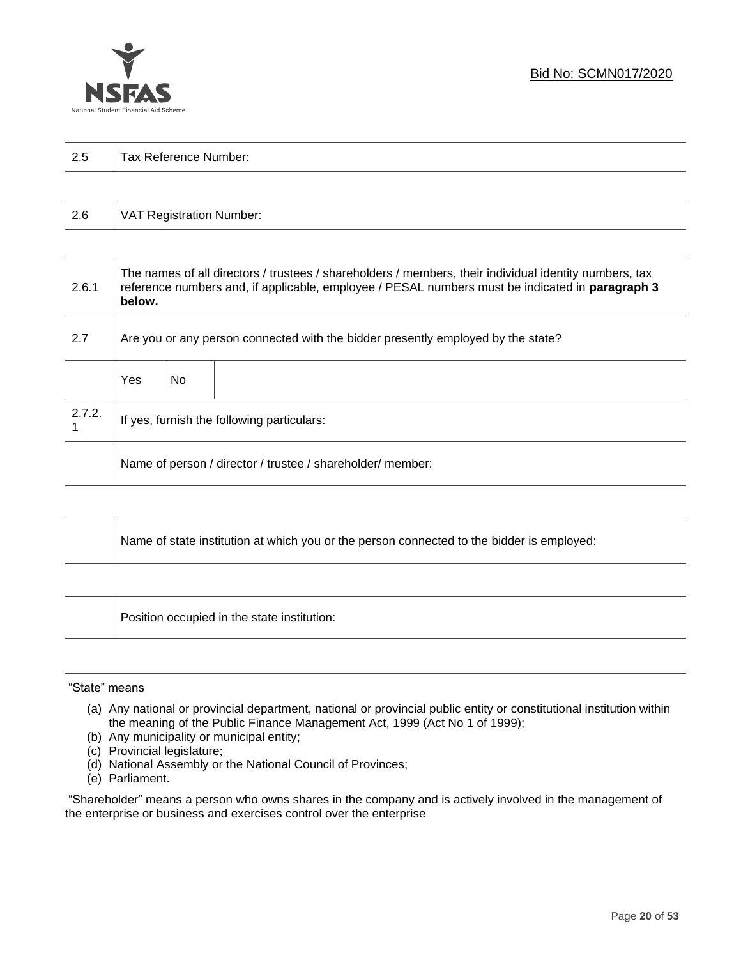

| っょ  |                       |
|-----|-----------------------|
| ن ک | Tax Reference Number: |
|     |                       |

| 2.6 | VAT Registration Number: |
|-----|--------------------------|
|-----|--------------------------|

| 2.6.1  | The names of all directors / trustees / shareholders / members, their individual identity numbers, tax<br>reference numbers and, if applicable, employee / PESAL numbers must be indicated in paragraph 3<br>below. |     |  |
|--------|---------------------------------------------------------------------------------------------------------------------------------------------------------------------------------------------------------------------|-----|--|
| 2.7    | Are you or any person connected with the bidder presently employed by the state?                                                                                                                                    |     |  |
|        | Yes                                                                                                                                                                                                                 | No. |  |
| 2.7.2. | If yes, furnish the following particulars:                                                                                                                                                                          |     |  |
|        | Name of person / director / trustee / shareholder/ member:                                                                                                                                                          |     |  |

| Name of state institution at which you or the person connected to the bidder is employed: |
|-------------------------------------------------------------------------------------------|
|                                                                                           |

Position occupied in the state institution:

### "State" means

┱

- (a) Any national or provincial department, national or provincial public entity or constitutional institution within the meaning of the Public Finance Management Act, 1999 (Act No 1 of 1999);
- (b) Any municipality or municipal entity;
- (c) Provincial legislature;
- (d) National Assembly or the National Council of Provinces;
- (e) Parliament.

"Shareholder" means a person who owns shares in the company and is actively involved in the management of the enterprise or business and exercises control over the enterprise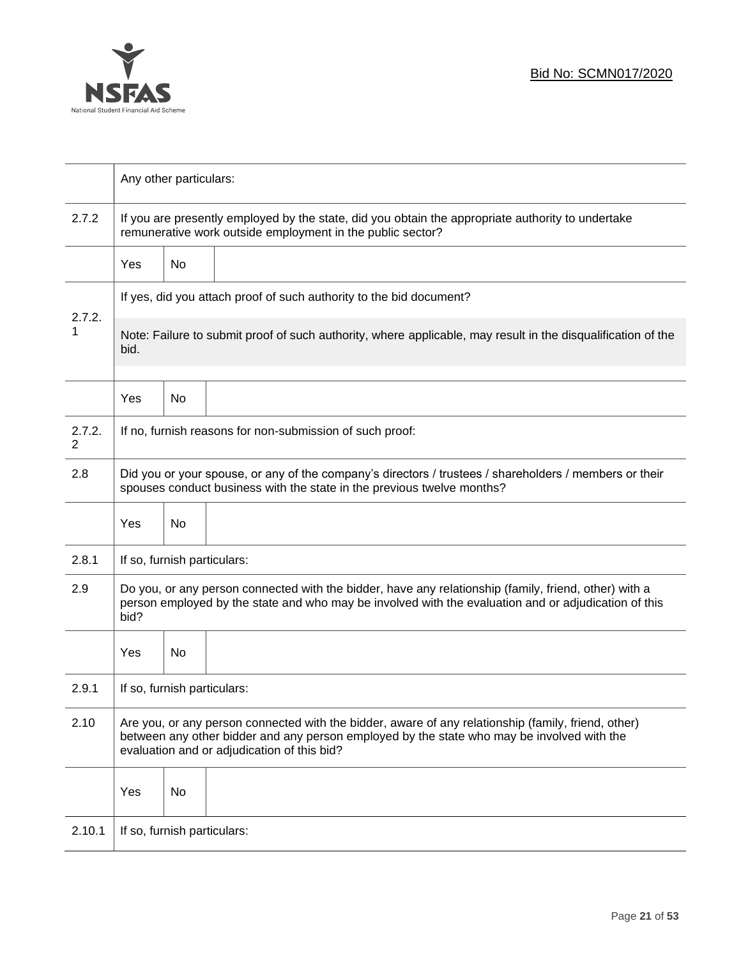

|                          |                                                                                                                                                                                                                                                  | Any other particulars:      |                                                                                                                                                                 |
|--------------------------|--------------------------------------------------------------------------------------------------------------------------------------------------------------------------------------------------------------------------------------------------|-----------------------------|-----------------------------------------------------------------------------------------------------------------------------------------------------------------|
| 2.7.2                    |                                                                                                                                                                                                                                                  |                             | If you are presently employed by the state, did you obtain the appropriate authority to undertake<br>remunerative work outside employment in the public sector? |
|                          | Yes                                                                                                                                                                                                                                              | No                          |                                                                                                                                                                 |
|                          |                                                                                                                                                                                                                                                  |                             | If yes, did you attach proof of such authority to the bid document?                                                                                             |
| 2.7.2.<br>1              | bid.                                                                                                                                                                                                                                             |                             | Note: Failure to submit proof of such authority, where applicable, may result in the disqualification of the                                                    |
|                          | Yes                                                                                                                                                                                                                                              | No                          |                                                                                                                                                                 |
| 2.7.2.<br>$\overline{2}$ | If no, furnish reasons for non-submission of such proof:                                                                                                                                                                                         |                             |                                                                                                                                                                 |
| 2.8                      | Did you or your spouse, or any of the company's directors / trustees / shareholders / members or their<br>spouses conduct business with the state in the previous twelve months?                                                                 |                             |                                                                                                                                                                 |
|                          | Yes                                                                                                                                                                                                                                              | No                          |                                                                                                                                                                 |
| 2.8.1                    |                                                                                                                                                                                                                                                  | If so, furnish particulars: |                                                                                                                                                                 |
| 2.9                      | Do you, or any person connected with the bidder, have any relationship (family, friend, other) with a<br>person employed by the state and who may be involved with the evaluation and or adjudication of this<br>bid?                            |                             |                                                                                                                                                                 |
|                          | Yes                                                                                                                                                                                                                                              | No                          |                                                                                                                                                                 |
| 2.9.1                    | If so, furnish particulars:                                                                                                                                                                                                                      |                             |                                                                                                                                                                 |
| 2.10                     | Are you, or any person connected with the bidder, aware of any relationship (family, friend, other)<br>between any other bidder and any person employed by the state who may be involved with the<br>evaluation and or adjudication of this bid? |                             |                                                                                                                                                                 |
|                          | Yes                                                                                                                                                                                                                                              | No                          |                                                                                                                                                                 |
| 2.10.1                   | If so, furnish particulars:                                                                                                                                                                                                                      |                             |                                                                                                                                                                 |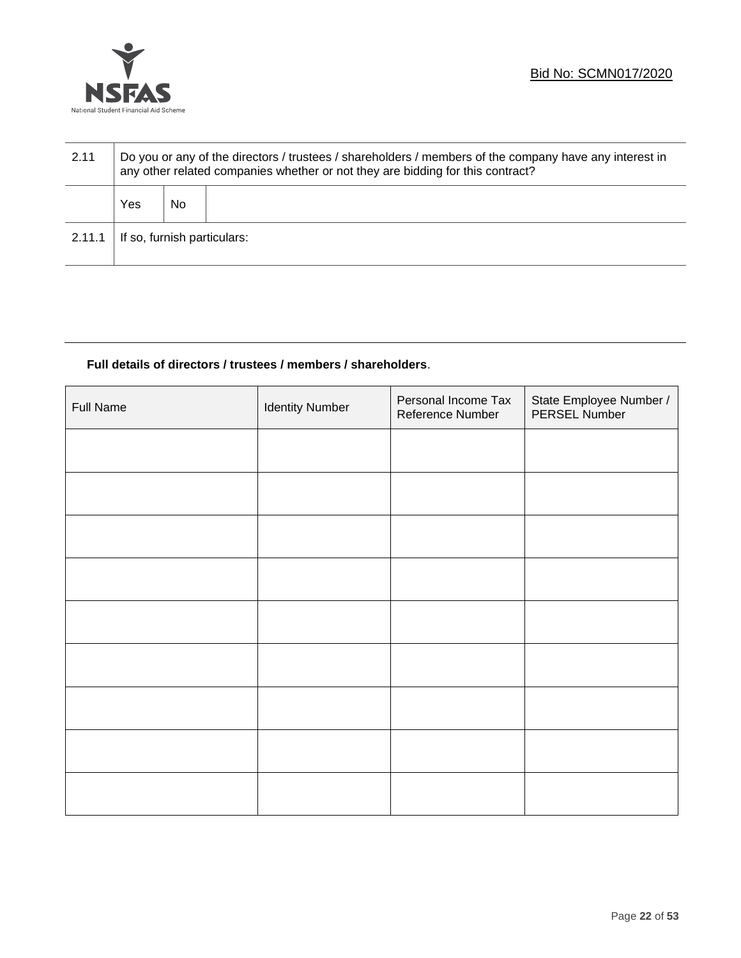

| 2.11   | Do you or any of the directors / trustees / shareholders / members of the company have any interest in<br>any other related companies whether or not they are bidding for this contract? |    |  |
|--------|------------------------------------------------------------------------------------------------------------------------------------------------------------------------------------------|----|--|
|        | Yes                                                                                                                                                                                      | No |  |
| 2.11.1 | If so, furnish particulars:                                                                                                                                                              |    |  |

### **Full details of directors / trustees / members / shareholders**.

| <b>Full Name</b> | <b>Identity Number</b> | Personal Income Tax<br>Reference Number | State Employee Number /<br>PERSEL Number |
|------------------|------------------------|-----------------------------------------|------------------------------------------|
|                  |                        |                                         |                                          |
|                  |                        |                                         |                                          |
|                  |                        |                                         |                                          |
|                  |                        |                                         |                                          |
|                  |                        |                                         |                                          |
|                  |                        |                                         |                                          |
|                  |                        |                                         |                                          |
|                  |                        |                                         |                                          |
|                  |                        |                                         |                                          |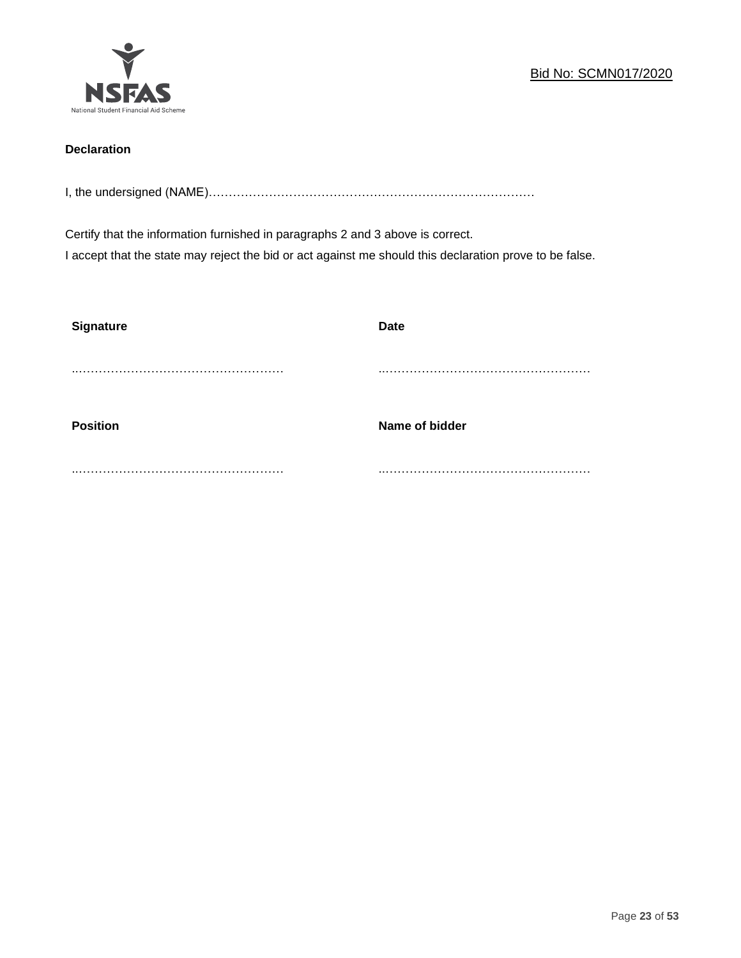

### **Declaration**

I, the undersigned (NAME)………………………………………………………………………

Certify that the information furnished in paragraphs 2 and 3 above is correct. I accept that the state may reject the bid or act against me should this declaration prove to be false.

| <b>Signature</b> | <b>Date</b>    |
|------------------|----------------|
|                  |                |
| <b>Position</b>  | Name of bidder |
|                  |                |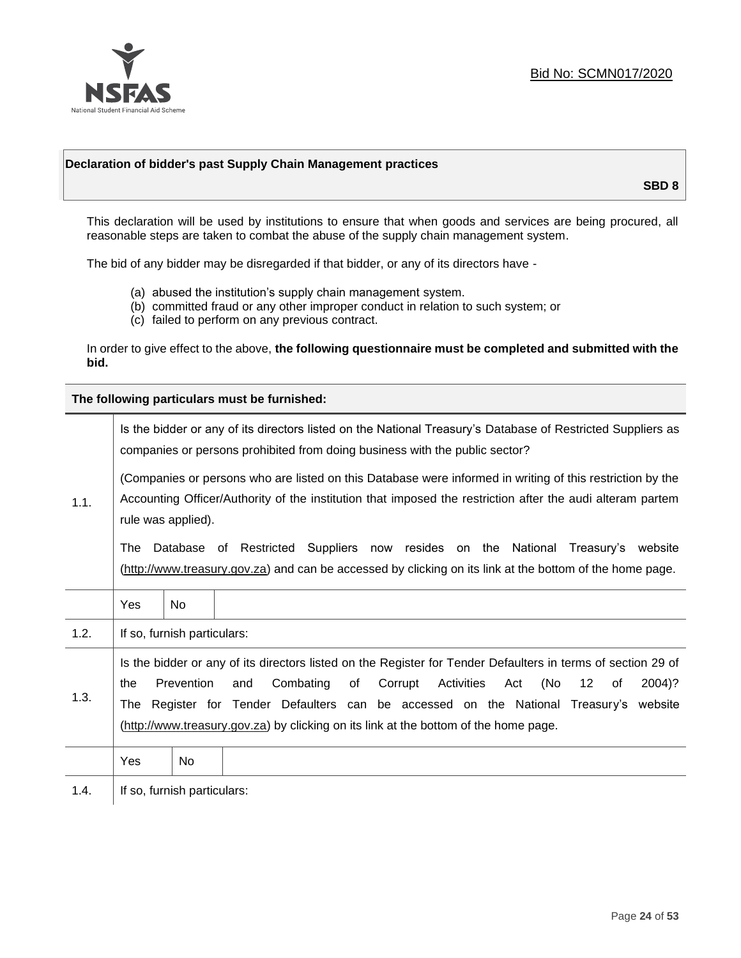

### **Declaration of bidder's past Supply Chain Management practices**

**SBD 8**

This declaration will be used by institutions to ensure that when goods and services are being procured, all reasonable steps are taken to combat the abuse of the supply chain management system.

The bid of any bidder may be disregarded if that bidder, or any of its directors have -

- (a) abused the institution's supply chain management system.
- (b) committed fraud or any other improper conduct in relation to such system; or
- (c) failed to perform on any previous contract.

In order to give effect to the above, **the following questionnaire must be completed and submitted with the bid.**

**The following particulars must be furnished:**

|      | Is the bidder or any of its directors listed on the National Treasury's Database of Restricted Suppliers as<br>companies or persons prohibited from doing business with the public sector?                                                                                                                                                                                                                |                             |                                                                                                                                                                                                |  |
|------|-----------------------------------------------------------------------------------------------------------------------------------------------------------------------------------------------------------------------------------------------------------------------------------------------------------------------------------------------------------------------------------------------------------|-----------------------------|------------------------------------------------------------------------------------------------------------------------------------------------------------------------------------------------|--|
| 1.1. | (Companies or persons who are listed on this Database were informed in writing of this restriction by the<br>Accounting Officer/Authority of the institution that imposed the restriction after the audi alteram partem<br>rule was applied).                                                                                                                                                             |                             |                                                                                                                                                                                                |  |
|      | The                                                                                                                                                                                                                                                                                                                                                                                                       |                             | Database of Restricted Suppliers now resides on the National<br>Treasury's website<br>(http://www.treasury.gov.za) and can be accessed by clicking on its link at the bottom of the home page. |  |
|      | Yes                                                                                                                                                                                                                                                                                                                                                                                                       | <b>No</b>                   |                                                                                                                                                                                                |  |
| 1.2. |                                                                                                                                                                                                                                                                                                                                                                                                           | If so, furnish particulars: |                                                                                                                                                                                                |  |
| 1.3. | Is the bidder or any of its directors listed on the Register for Tender Defaulters in terms of section 29 of<br>Prevention<br>Activities<br>(No<br>Combating<br>of<br>Corrupt<br>12<br>2004)?<br>the<br>and<br>Act<br>of<br>The Register for Tender Defaulters can be accessed on the National Treasury's website<br>(http://www.treasury.gov.za) by clicking on its link at the bottom of the home page. |                             |                                                                                                                                                                                                |  |
|      | Yes                                                                                                                                                                                                                                                                                                                                                                                                       | No                          |                                                                                                                                                                                                |  |
| 1.4. |                                                                                                                                                                                                                                                                                                                                                                                                           | If so, furnish particulars: |                                                                                                                                                                                                |  |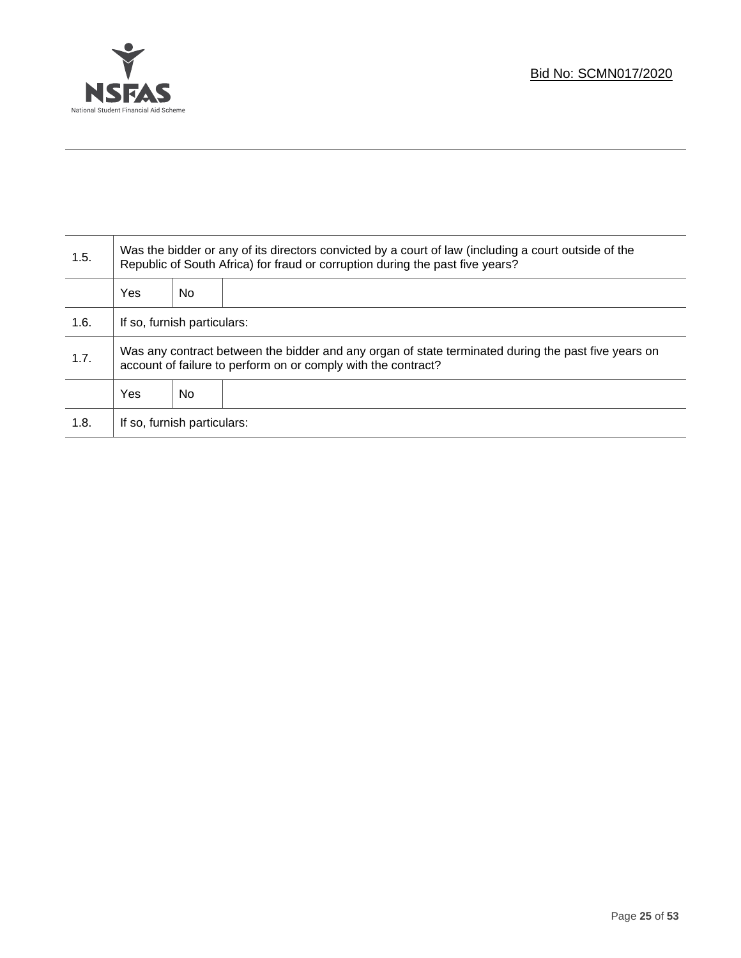

Τ

| 1.5. | Was the bidder or any of its directors convicted by a court of law (including a court outside of the<br>Republic of South Africa) for fraud or corruption during the past five years? |    |  |  |
|------|---------------------------------------------------------------------------------------------------------------------------------------------------------------------------------------|----|--|--|
|      | Yes                                                                                                                                                                                   | No |  |  |
| 1.6. | If so, furnish particulars:                                                                                                                                                           |    |  |  |
| 1.7. | Was any contract between the bidder and any organ of state terminated during the past five years on<br>account of failure to perform on or comply with the contract?                  |    |  |  |
|      | Yes                                                                                                                                                                                   | No |  |  |
| 1.8. | If so, furnish particulars:                                                                                                                                                           |    |  |  |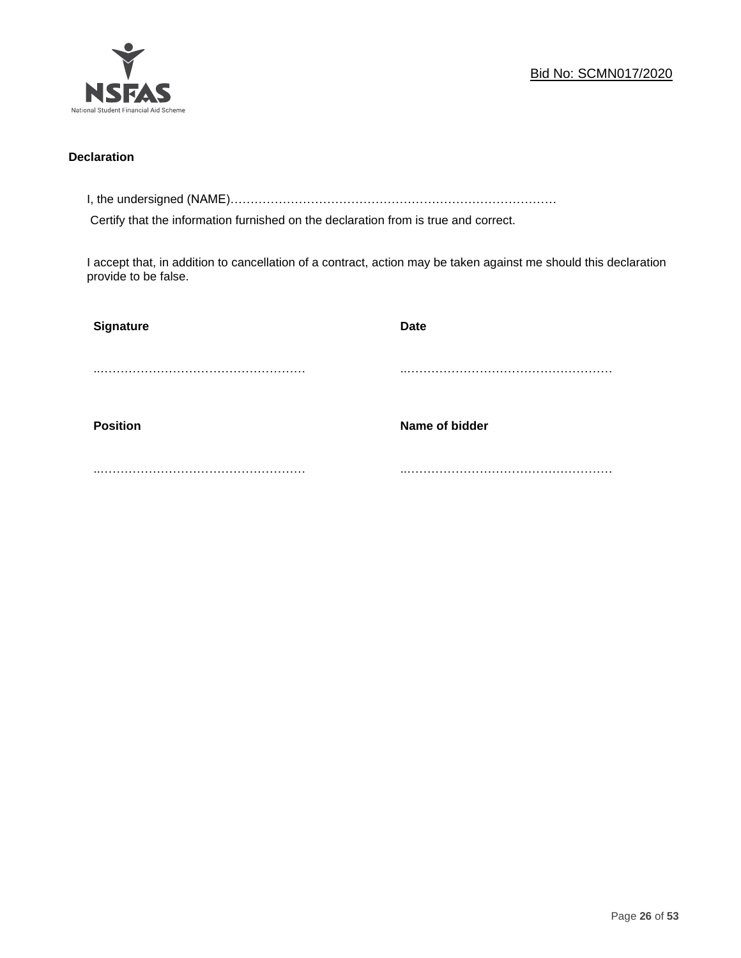

### **Declaration**

I, the undersigned (NAME)………………………………………………………………………

Certify that the information furnished on the declaration from is true and correct.

I accept that, in addition to cancellation of a contract, action may be taken against me should this declaration provide to be false.

| Signature       | <b>Date</b>    |
|-----------------|----------------|
|                 |                |
|                 |                |
| <b>Position</b> | Name of bidder |
|                 |                |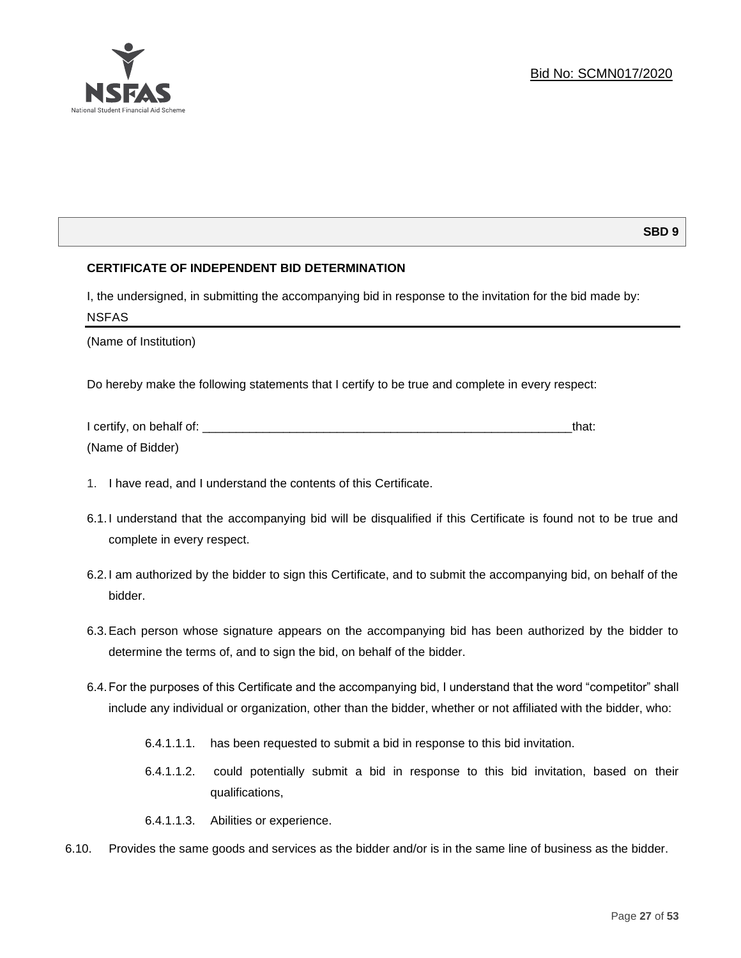

### **SBD 9**

### **CERTIFICATE OF INDEPENDENT BID DETERMINATION**

I, the undersigned, in submitting the accompanying bid in response to the invitation for the bid made by: NSFAS

(Name of Institution)

Do hereby make the following statements that I certify to be true and complete in every respect:

| I certify, on behalf of: |  |
|--------------------------|--|
| (Name of Bidder)         |  |

- 1. I have read, and I understand the contents of this Certificate.
- 6.1.I understand that the accompanying bid will be disqualified if this Certificate is found not to be true and complete in every respect.
- 6.2.I am authorized by the bidder to sign this Certificate, and to submit the accompanying bid, on behalf of the bidder.
- 6.3.Each person whose signature appears on the accompanying bid has been authorized by the bidder to determine the terms of, and to sign the bid, on behalf of the bidder.
- 6.4.For the purposes of this Certificate and the accompanying bid, I understand that the word "competitor" shall include any individual or organization, other than the bidder, whether or not affiliated with the bidder, who:
	- 6.4.1.1.1. has been requested to submit a bid in response to this bid invitation.
	- 6.4.1.1.2. could potentially submit a bid in response to this bid invitation, based on their qualifications,
	- 6.4.1.1.3. Abilities or experience.
- 6.10. Provides the same goods and services as the bidder and/or is in the same line of business as the bidder.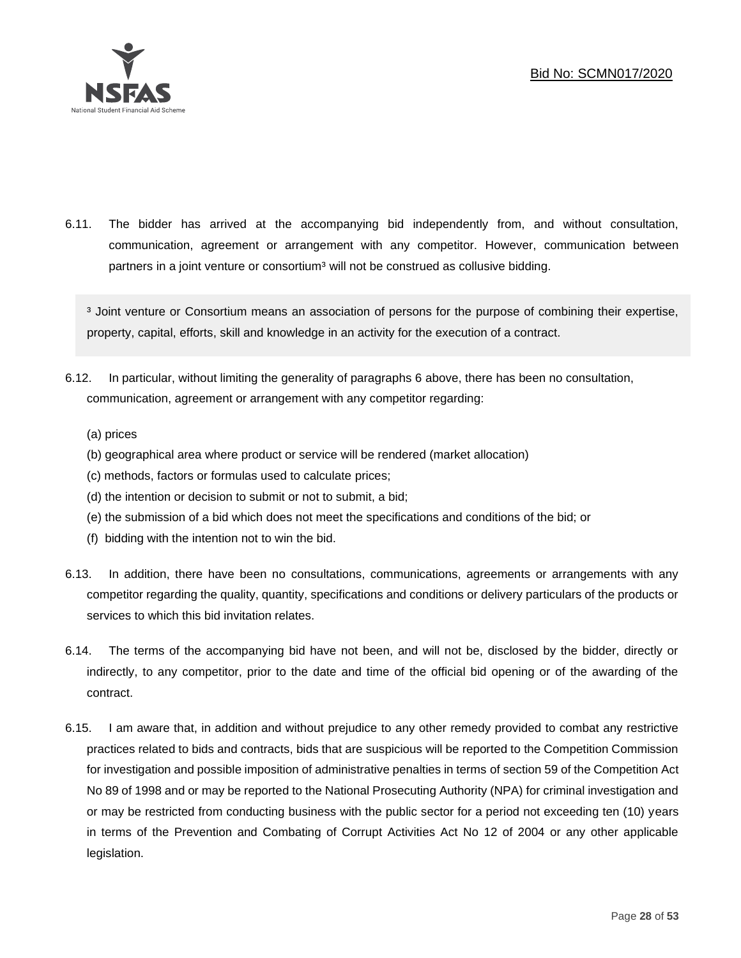

6.11. The bidder has arrived at the accompanying bid independently from, and without consultation, communication, agreement or arrangement with any competitor. However, communication between partners in a joint venture or consortium<sup>3</sup> will not be construed as collusive bidding.

<sup>3</sup> Joint venture or Consortium means an association of persons for the purpose of combining their expertise, property, capital, efforts, skill and knowledge in an activity for the execution of a contract.

- 6.12. In particular, without limiting the generality of paragraphs 6 above, there has been no consultation, communication, agreement or arrangement with any competitor regarding:
	- (a) prices
	- (b) geographical area where product or service will be rendered (market allocation)
	- (c) methods, factors or formulas used to calculate prices;
	- (d) the intention or decision to submit or not to submit, a bid;
	- (e) the submission of a bid which does not meet the specifications and conditions of the bid; or
	- (f) bidding with the intention not to win the bid.
- 6.13. In addition, there have been no consultations, communications, agreements or arrangements with any competitor regarding the quality, quantity, specifications and conditions or delivery particulars of the products or services to which this bid invitation relates.
- 6.14. The terms of the accompanying bid have not been, and will not be, disclosed by the bidder, directly or indirectly, to any competitor, prior to the date and time of the official bid opening or of the awarding of the contract.
- 6.15. I am aware that, in addition and without prejudice to any other remedy provided to combat any restrictive practices related to bids and contracts, bids that are suspicious will be reported to the Competition Commission for investigation and possible imposition of administrative penalties in terms of section 59 of the Competition Act No 89 of 1998 and or may be reported to the National Prosecuting Authority (NPA) for criminal investigation and or may be restricted from conducting business with the public sector for a period not exceeding ten (10) years in terms of the Prevention and Combating of Corrupt Activities Act No 12 of 2004 or any other applicable legislation.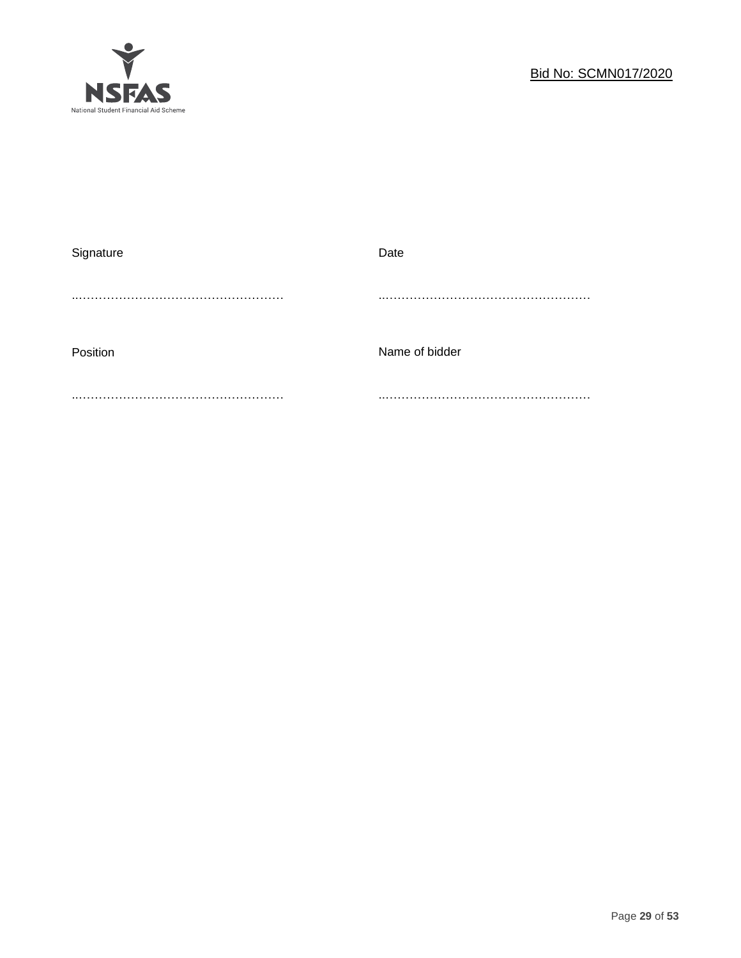

| Signature | Date           |
|-----------|----------------|
|           |                |
| Position  | Name of bidder |
|           |                |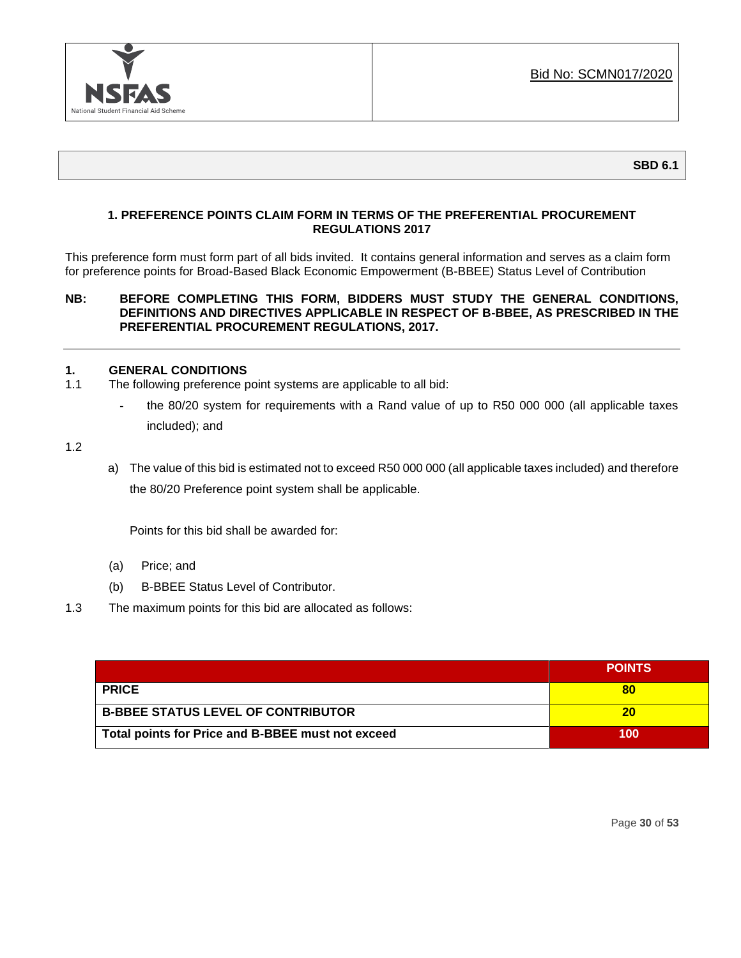

**SBD 6.1**

### **1. PREFERENCE POINTS CLAIM FORM IN TERMS OF THE PREFERENTIAL PROCUREMENT REGULATIONS 2017**

This preference form must form part of all bids invited. It contains general information and serves as a claim form for preference points for Broad-Based Black Economic Empowerment (B-BBEE) Status Level of Contribution

### **NB: BEFORE COMPLETING THIS FORM, BIDDERS MUST STUDY THE GENERAL CONDITIONS, DEFINITIONS AND DIRECTIVES APPLICABLE IN RESPECT OF B-BBEE, AS PRESCRIBED IN THE PREFERENTIAL PROCUREMENT REGULATIONS, 2017.**

### **1. GENERAL CONDITIONS**

- 1.1 The following preference point systems are applicable to all bid:
	- the 80/20 system for requirements with a Rand value of up to R50 000 000 (all applicable taxes included); and

1.2

a) The value of this bid is estimated not to exceed R50 000 000 (all applicable taxes included) and therefore the 80/20 Preference point system shall be applicable.

Points for this bid shall be awarded for:

- (a) Price; and
- (b) B-BBEE Status Level of Contributor.
- 1.3 The maximum points for this bid are allocated as follows:

|                                                   | <b>POINTS</b> |
|---------------------------------------------------|---------------|
| <b>PRICE</b>                                      | 80            |
| <b>B-BBEE STATUS LEVEL OF CONTRIBUTOR</b>         | 20            |
| Total points for Price and B-BBEE must not exceed | 100           |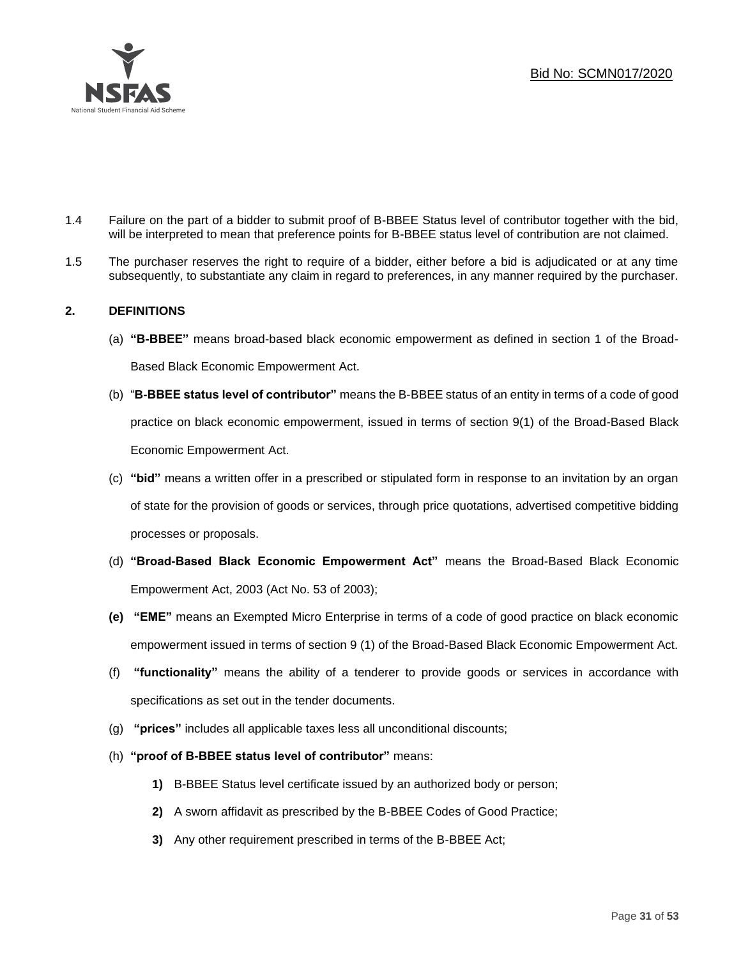

- 1.4 Failure on the part of a bidder to submit proof of B-BBEE Status level of contributor together with the bid, will be interpreted to mean that preference points for B-BBEE status level of contribution are not claimed.
- 1.5 The purchaser reserves the right to require of a bidder, either before a bid is adjudicated or at any time subsequently, to substantiate any claim in regard to preferences, in any manner required by the purchaser.

### **2. DEFINITIONS**

- (a) **"B-BBEE"** means broad-based black economic empowerment as defined in section 1 of the Broad-Based Black Economic Empowerment Act.
- (b) "**B-BBEE status level of contributor"** means the B-BBEE status of an entity in terms of a code of good practice on black economic empowerment, issued in terms of section 9(1) of the Broad-Based Black Economic Empowerment Act.
- (c) **"bid"** means a written offer in a prescribed or stipulated form in response to an invitation by an organ of state for the provision of goods or services, through price quotations, advertised competitive bidding processes or proposals.
- (d) **"Broad-Based Black Economic Empowerment Act"** means the Broad-Based Black Economic Empowerment Act, 2003 (Act No. 53 of 2003);
- **(e) "EME"** means an Exempted Micro Enterprise in terms of a code of good practice on black economic empowerment issued in terms of section 9 (1) of the Broad-Based Black Economic Empowerment Act.
- (f) **"functionality"** means the ability of a tenderer to provide goods or services in accordance with specifications as set out in the tender documents.
- (g) **"prices"** includes all applicable taxes less all unconditional discounts;
- (h) **"proof of B-BBEE status level of contributor"** means:
	- **1)** B-BBEE Status level certificate issued by an authorized body or person;
	- **2)** A sworn affidavit as prescribed by the B-BBEE Codes of Good Practice;
	- **3)** Any other requirement prescribed in terms of the B-BBEE Act;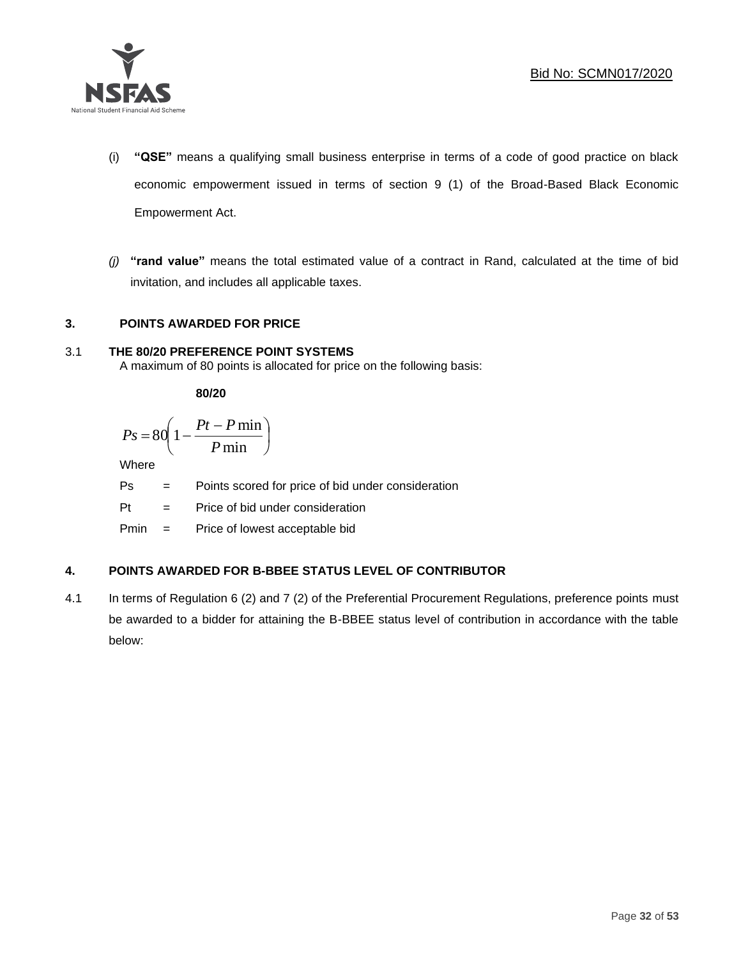

- (i) **"QSE"** means a qualifying small business enterprise in terms of a code of good practice on black economic empowerment issued in terms of section 9 (1) of the Broad-Based Black Economic Empowerment Act.
- *(j)* **"rand value"** means the total estimated value of a contract in Rand, calculated at the time of bid invitation, and includes all applicable taxes.

### **3. POINTS AWARDED FOR PRICE**

### 3.1 **THE 80/20 PREFERENCE POINT SYSTEMS**

A maximum of 80 points is allocated for price on the following basis:

**80/20**

$$
Ps = 80 \left( 1 - \frac{Pt - P \min}{P \min} \right)
$$

Where

Ps = Points scored for price of bid under consideration

l

 $Pt =$  Price of bid under consideration

Pmin = Price of lowest acceptable bid

### **4. POINTS AWARDED FOR B-BBEE STATUS LEVEL OF CONTRIBUTOR**

4.1 In terms of Regulation 6 (2) and 7 (2) of the Preferential Procurement Regulations, preference points must be awarded to a bidder for attaining the B-BBEE status level of contribution in accordance with the table below: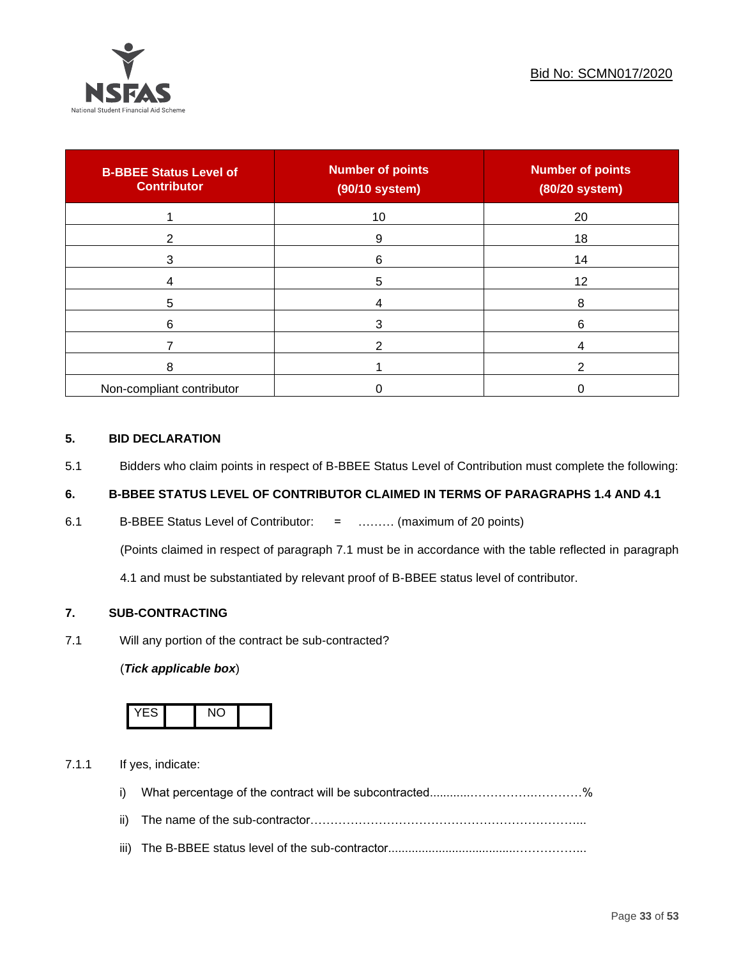

| <b>B-BBEE Status Level of</b><br><b>Contributor</b> | <b>Number of points</b><br>(90/10 system) | <b>Number of points</b><br>(80/20 system) |
|-----------------------------------------------------|-------------------------------------------|-------------------------------------------|
|                                                     | 10                                        | 20                                        |
| 2                                                   | 9                                         | 18                                        |
| 3                                                   | 6                                         | 14                                        |
|                                                     | 5                                         | 12                                        |
| 5                                                   |                                           | 8                                         |
| 6                                                   | 3                                         | 6                                         |
|                                                     |                                           |                                           |
| 8                                                   |                                           |                                           |
| Non-compliant contributor                           |                                           |                                           |

### **5. BID DECLARATION**

5.1 Bidders who claim points in respect of B-BBEE Status Level of Contribution must complete the following:

### **6. B-BBEE STATUS LEVEL OF CONTRIBUTOR CLAIMED IN TERMS OF PARAGRAPHS 1.4 AND 4.1**

6.1 B-BBEE Status Level of Contributor: = ……… (maximum of 20 points)

(Points claimed in respect of paragraph 7.1 must be in accordance with the table reflected in paragraph

4.1 and must be substantiated by relevant proof of B-BBEE status level of contributor.

### **7. SUB-CONTRACTING**

7.1 Will any portion of the contract be sub-contracted?

### (*Tick applicable box*)



7.1.1 If yes, indicate:

- i) What percentage of the contract will be subcontracted............…………….…………%
- ii) The name of the sub-contractor…………………………………………………………...
- iii) The B-BBEE status level of the sub-contractor......................................……………...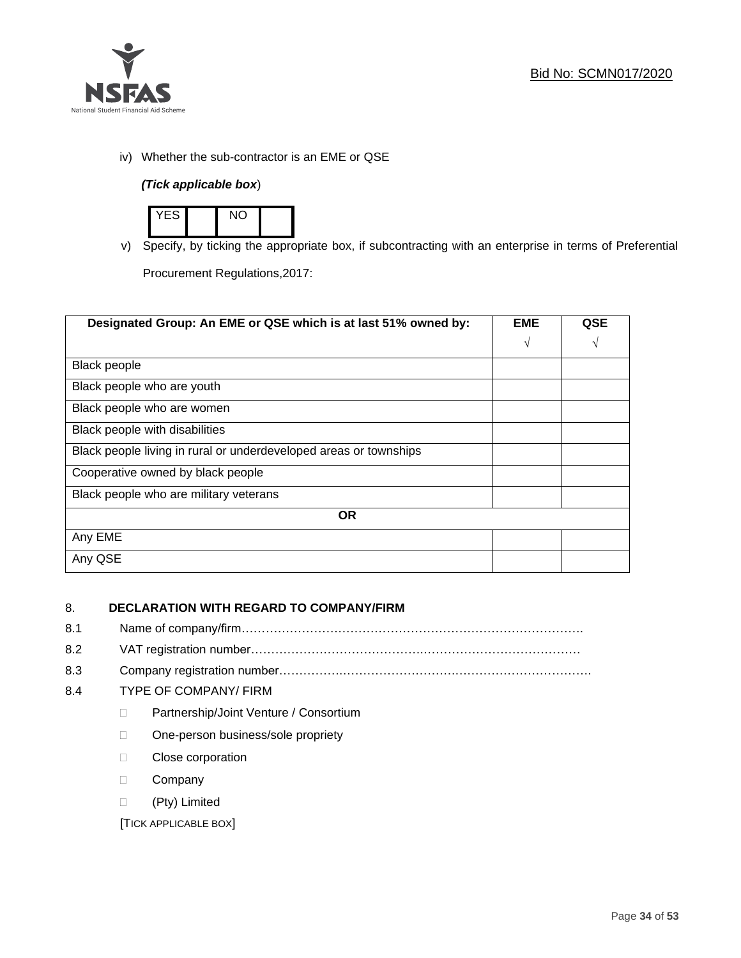

iv) Whether the sub-contractor is an EME or QSE

### *(Tick applicable box*)



v) Specify, by ticking the appropriate box, if subcontracting with an enterprise in terms of Preferential

Procurement Regulations,2017:

| Designated Group: An EME or QSE which is at last 51% owned by:    |            | <b>QSE</b> |
|-------------------------------------------------------------------|------------|------------|
|                                                                   | $\sqrt{ }$ | V          |
| <b>Black people</b>                                               |            |            |
| Black people who are youth                                        |            |            |
| Black people who are women                                        |            |            |
| Black people with disabilities                                    |            |            |
| Black people living in rural or underdeveloped areas or townships |            |            |
| Cooperative owned by black people                                 |            |            |
| Black people who are military veterans                            |            |            |
| <b>OR</b>                                                         |            |            |
| Any EME                                                           |            |            |
| Any QSE                                                           |            |            |

### 8. **DECLARATION WITH REGARD TO COMPANY/FIRM**

- 8.1 Name of company/firm………………………………………………………………………….
- 8.2 VAT registration number…………………………………….…………………………………
- 8.3 Company registration number…………….……………………….…………………………….

### 8.4 TYPE OF COMPANY/ FIRM

- D Partnership/Joint Venture / Consortium
- □ One-person business/sole propriety
- D Close corporation
- D Company
- (Pty) Limited

[TICK APPLICABLE BOX]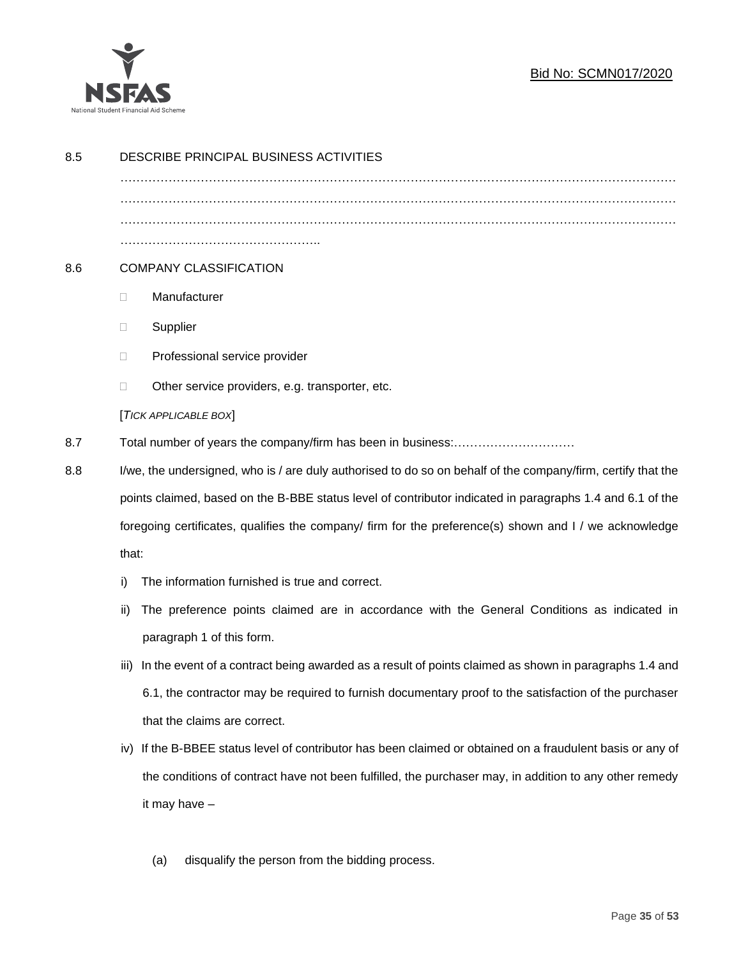

### Bid No: SCMN017/2020

| 8.5 | DESCRIBE PRINCIPAL BUSINESS ACTIVITIES                                                                          |  |  |
|-----|-----------------------------------------------------------------------------------------------------------------|--|--|
|     |                                                                                                                 |  |  |
|     |                                                                                                                 |  |  |
|     |                                                                                                                 |  |  |
| 8.6 | <b>COMPANY CLASSIFICATION</b>                                                                                   |  |  |
|     | Manufacturer<br>□                                                                                               |  |  |
|     | Supplier<br>$\Box$                                                                                              |  |  |
|     | Professional service provider<br>$\Box$                                                                         |  |  |
|     | Other service providers, e.g. transporter, etc.<br>□                                                            |  |  |
|     | [TICK APPLICABLE BOX]                                                                                           |  |  |
| 8.7 |                                                                                                                 |  |  |
| 8.8 | I/we, the undersigned, who is / are duly authorised to do so on behalf of the company/firm, certify that the    |  |  |
|     | points claimed, based on the B-BBE status level of contributor indicated in paragraphs 1.4 and 6.1 of the       |  |  |
|     | foregoing certificates, qualifies the company/ firm for the preference(s) shown and I / we acknowledge<br>that: |  |  |
|     |                                                                                                                 |  |  |
|     | The information furnished is true and correct.<br>i)                                                            |  |  |
|     | The preference points claimed are in accordance with the General Conditions as indicated in<br>ii)              |  |  |
|     | paragraph 1 of this form.                                                                                       |  |  |
|     | In the event of a contract being awarded as a result of points claimed as shown in paragraphs 1.4 and<br>iii)   |  |  |
|     | 6.1, the contractor may be required to furnish documentary proof to the satisfaction of the purchaser           |  |  |
|     | that the claims are correct.                                                                                    |  |  |
|     | If the B-BBEE status level of contributor has been claimed or obtained on a fraudulent basis or any of<br>IV)   |  |  |
|     | the conditions of contract have not been fulfilled, the purchaser may, in addition to any other remedy          |  |  |
|     | it may have -                                                                                                   |  |  |
|     |                                                                                                                 |  |  |
|     | disqualify the person from the bidding process.<br>(a)                                                          |  |  |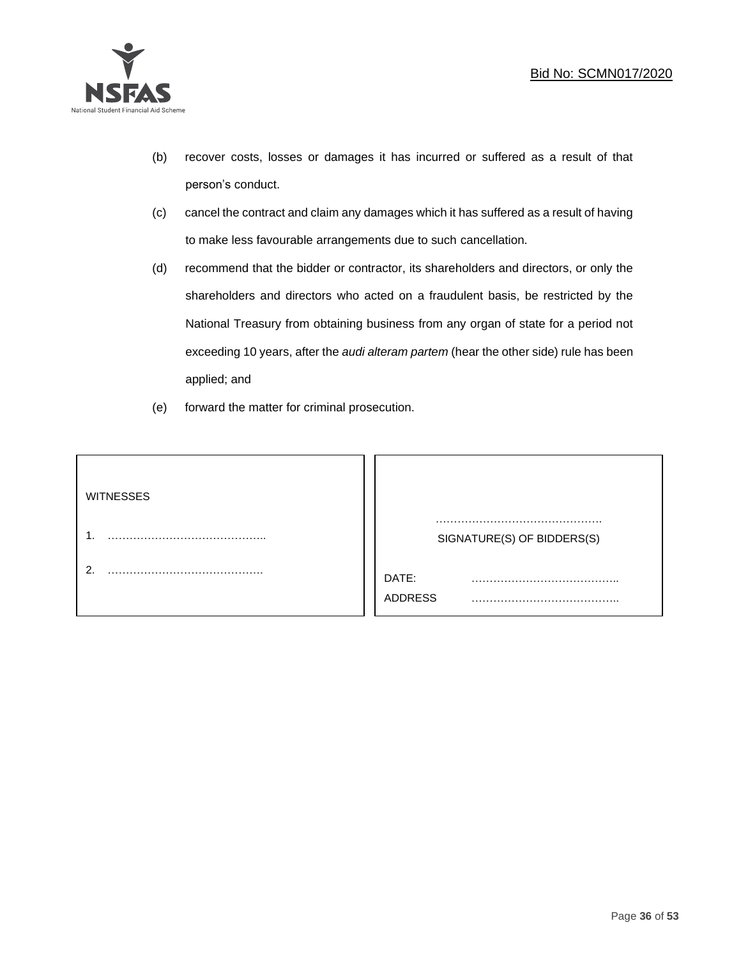

- (b) recover costs, losses or damages it has incurred or suffered as a result of that person's conduct.
- (c) cancel the contract and claim any damages which it has suffered as a result of having to make less favourable arrangements due to such cancellation.
- (d) recommend that the bidder or contractor, its shareholders and directors, or only the shareholders and directors who acted on a fraudulent basis, be restricted by the National Treasury from obtaining business from any organ of state for a period not exceeding 10 years, after the *audi alteram partem* (hear the other side) rule has been applied; and
- (e) forward the matter for criminal prosecution.

| <b>WITNESSES</b> |                            |
|------------------|----------------------------|
|                  | SIGNATURE(S) OF BIDDERS(S) |
|                  | DATE:<br>.<br>ADDRESS      |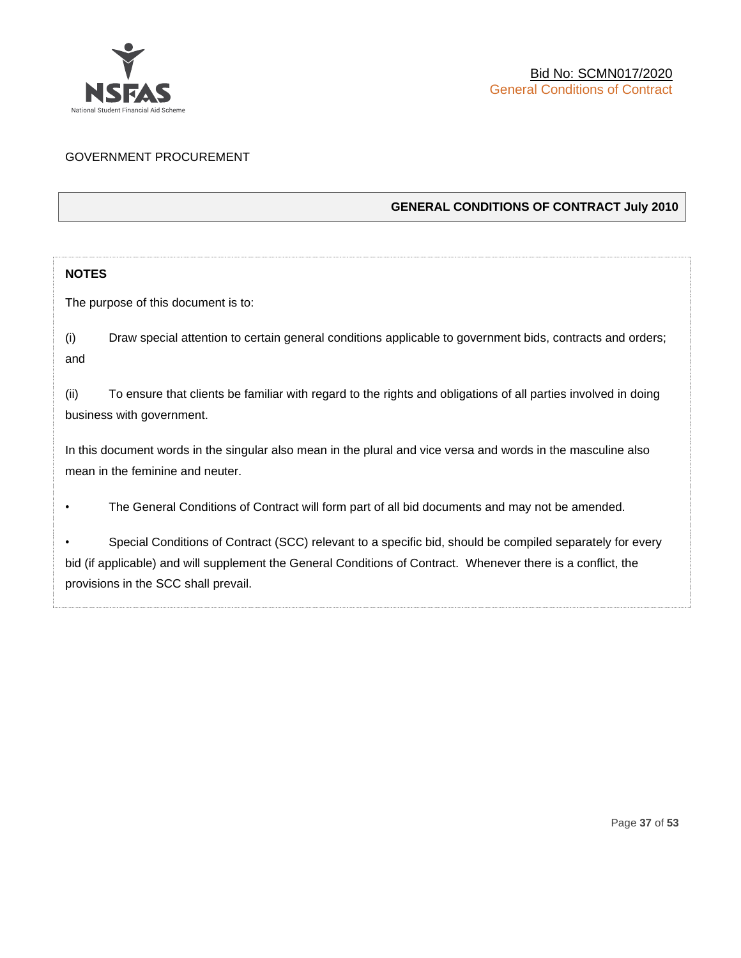

### GOVERNMENT PROCUREMENT

### **GENERAL CONDITIONS OF CONTRACT July 2010**

### **NOTES**

The purpose of this document is to:

(i) Draw special attention to certain general conditions applicable to government bids, contracts and orders; and

(ii) To ensure that clients be familiar with regard to the rights and obligations of all parties involved in doing business with government.

In this document words in the singular also mean in the plural and vice versa and words in the masculine also mean in the feminine and neuter.

• The General Conditions of Contract will form part of all bid documents and may not be amended.

Special Conditions of Contract (SCC) relevant to a specific bid, should be compiled separately for every bid (if applicable) and will supplement the General Conditions of Contract. Whenever there is a conflict, the provisions in the SCC shall prevail.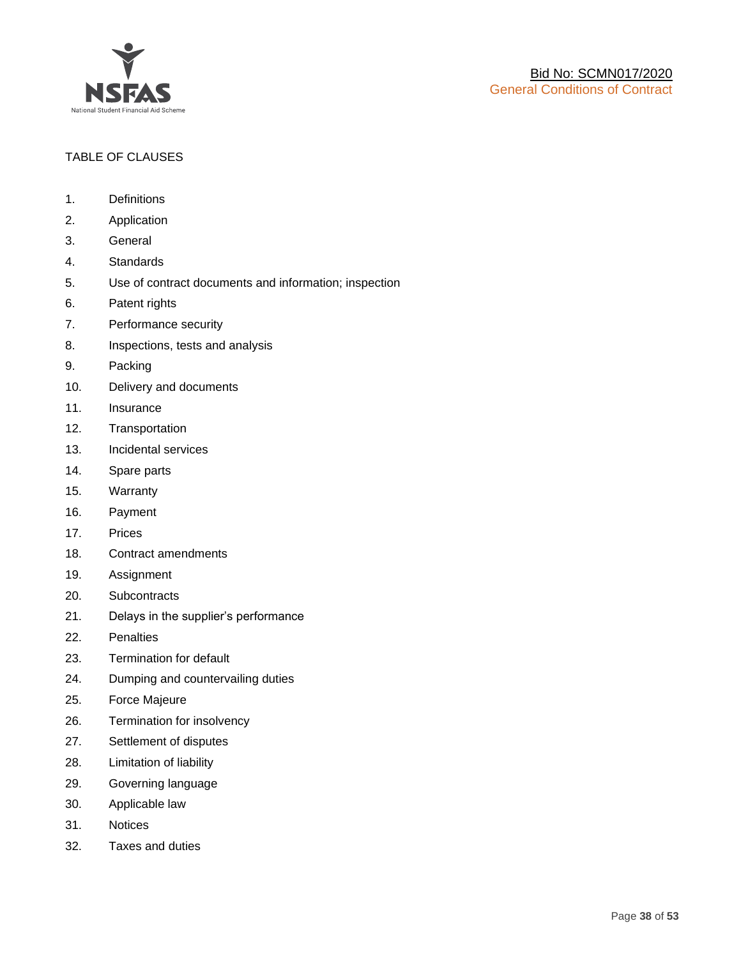

### TABLE OF CLAUSES

- 1. Definitions
- 2. Application
- 3. General
- 4. Standards
- 5. Use of contract documents and information; inspection
- 6. Patent rights
- 7. Performance security
- 8. Inspections, tests and analysis
- 9. Packing
- 10. Delivery and documents
- 11. Insurance
- 12. Transportation
- 13. Incidental services
- 14. Spare parts
- 15. Warranty
- 16. Payment
- 17. Prices
- 18. Contract amendments
- 19. Assignment
- 20. Subcontracts
- 21. Delays in the supplier's performance
- 22. Penalties
- 23. Termination for default
- 24. Dumping and countervailing duties
- 25. Force Majeure
- 26. Termination for insolvency
- 27. Settlement of disputes
- 28. Limitation of liability
- 29. Governing language
- 30. Applicable law
- 31. Notices
- 32. Taxes and duties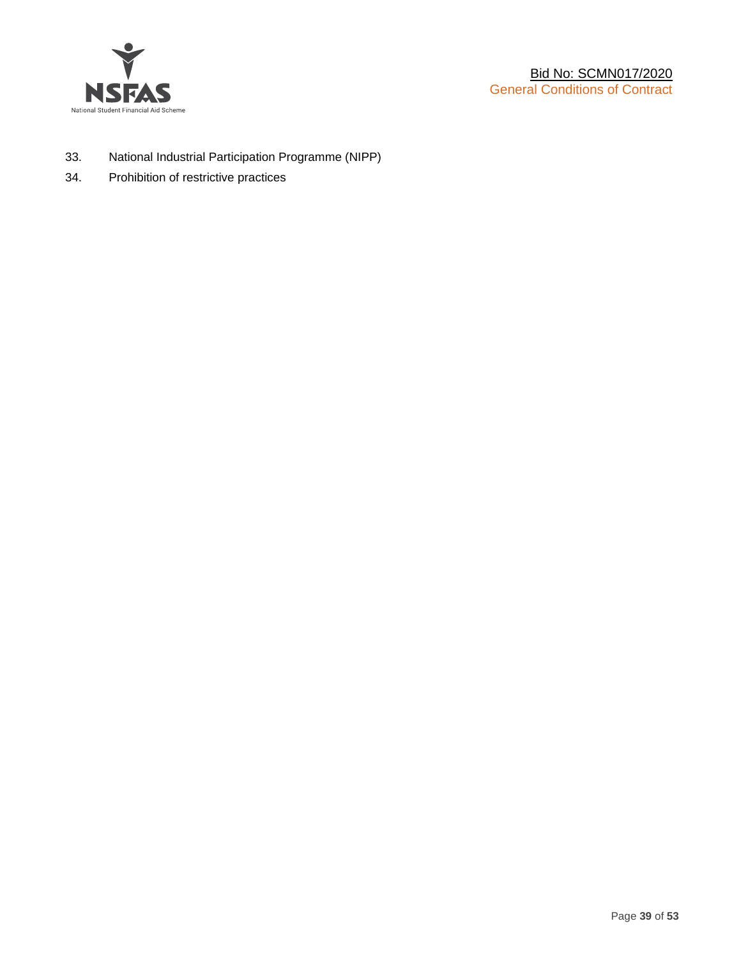

- 33. National Industrial Participation Programme (NIPP)
- 34. Prohibition of restrictive practices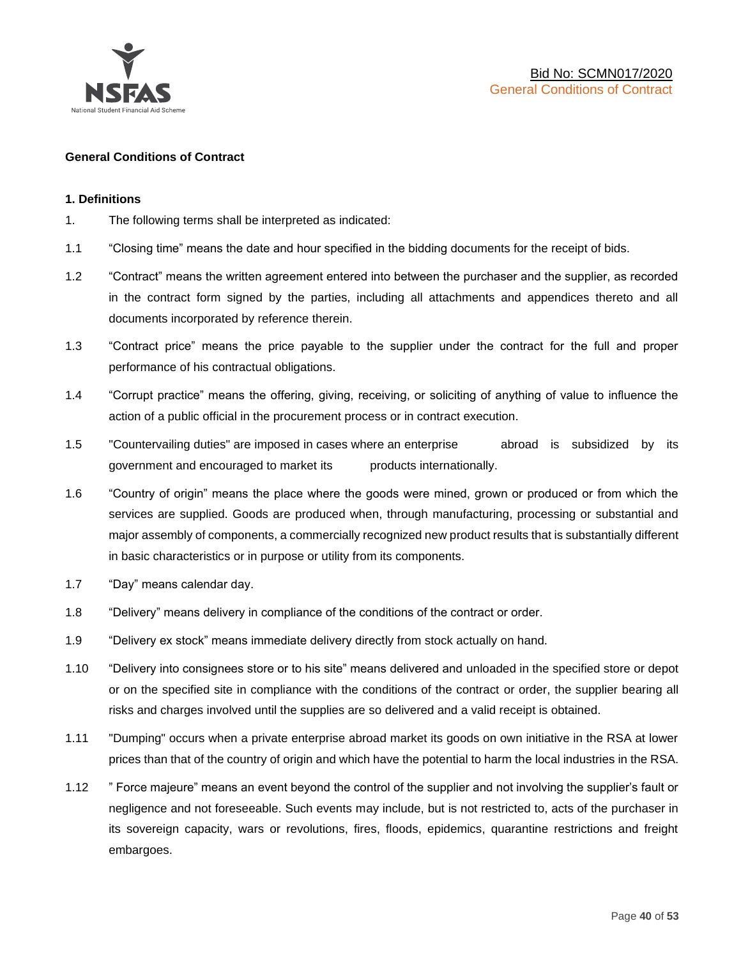

### **General Conditions of Contract**

### **1. Definitions**

- 1. The following terms shall be interpreted as indicated:
- 1.1 "Closing time" means the date and hour specified in the bidding documents for the receipt of bids.
- 1.2 "Contract" means the written agreement entered into between the purchaser and the supplier, as recorded in the contract form signed by the parties, including all attachments and appendices thereto and all documents incorporated by reference therein.
- 1.3 "Contract price" means the price payable to the supplier under the contract for the full and proper performance of his contractual obligations.
- 1.4 "Corrupt practice" means the offering, giving, receiving, or soliciting of anything of value to influence the action of a public official in the procurement process or in contract execution.
- 1.5 "Countervailing duties" are imposed in cases where an enterprise abroad is subsidized by its government and encouraged to market its products internationally.
- 1.6 "Country of origin" means the place where the goods were mined, grown or produced or from which the services are supplied. Goods are produced when, through manufacturing, processing or substantial and major assembly of components, a commercially recognized new product results that is substantially different in basic characteristics or in purpose or utility from its components.
- 1.7 "Day" means calendar day.
- 1.8 "Delivery" means delivery in compliance of the conditions of the contract or order.
- 1.9 "Delivery ex stock" means immediate delivery directly from stock actually on hand.
- 1.10 "Delivery into consignees store or to his site" means delivered and unloaded in the specified store or depot or on the specified site in compliance with the conditions of the contract or order, the supplier bearing all risks and charges involved until the supplies are so delivered and a valid receipt is obtained.
- 1.11 "Dumping" occurs when a private enterprise abroad market its goods on own initiative in the RSA at lower prices than that of the country of origin and which have the potential to harm the local industries in the RSA.
- 1.12 " Force majeure" means an event beyond the control of the supplier and not involving the supplier's fault or negligence and not foreseeable. Such events may include, but is not restricted to, acts of the purchaser in its sovereign capacity, wars or revolutions, fires, floods, epidemics, quarantine restrictions and freight embargoes.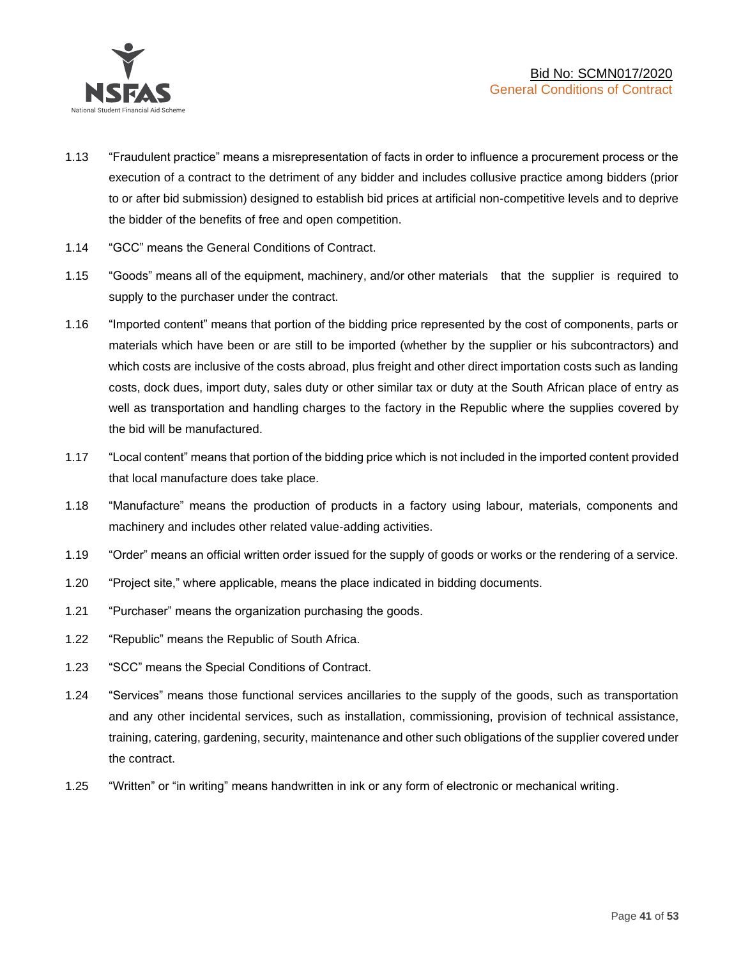

- 1.13 "Fraudulent practice" means a misrepresentation of facts in order to influence a procurement process or the execution of a contract to the detriment of any bidder and includes collusive practice among bidders (prior to or after bid submission) designed to establish bid prices at artificial non-competitive levels and to deprive the bidder of the benefits of free and open competition.
- 1.14 "GCC" means the General Conditions of Contract.
- 1.15 "Goods" means all of the equipment, machinery, and/or other materials that the supplier is required to supply to the purchaser under the contract.
- 1.16 "Imported content" means that portion of the bidding price represented by the cost of components, parts or materials which have been or are still to be imported (whether by the supplier or his subcontractors) and which costs are inclusive of the costs abroad, plus freight and other direct importation costs such as landing costs, dock dues, import duty, sales duty or other similar tax or duty at the South African place of entry as well as transportation and handling charges to the factory in the Republic where the supplies covered by the bid will be manufactured.
- 1.17 "Local content" means that portion of the bidding price which is not included in the imported content provided that local manufacture does take place.
- 1.18 "Manufacture" means the production of products in a factory using labour, materials, components and machinery and includes other related value-adding activities.
- 1.19 "Order" means an official written order issued for the supply of goods or works or the rendering of a service.
- 1.20 "Project site," where applicable, means the place indicated in bidding documents.
- 1.21 "Purchaser" means the organization purchasing the goods.
- 1.22 "Republic" means the Republic of South Africa.
- 1.23 "SCC" means the Special Conditions of Contract.
- 1.24 "Services" means those functional services ancillaries to the supply of the goods, such as transportation and any other incidental services, such as installation, commissioning, provision of technical assistance, training, catering, gardening, security, maintenance and other such obligations of the supplier covered under the contract.
- 1.25 "Written" or "in writing" means handwritten in ink or any form of electronic or mechanical writing.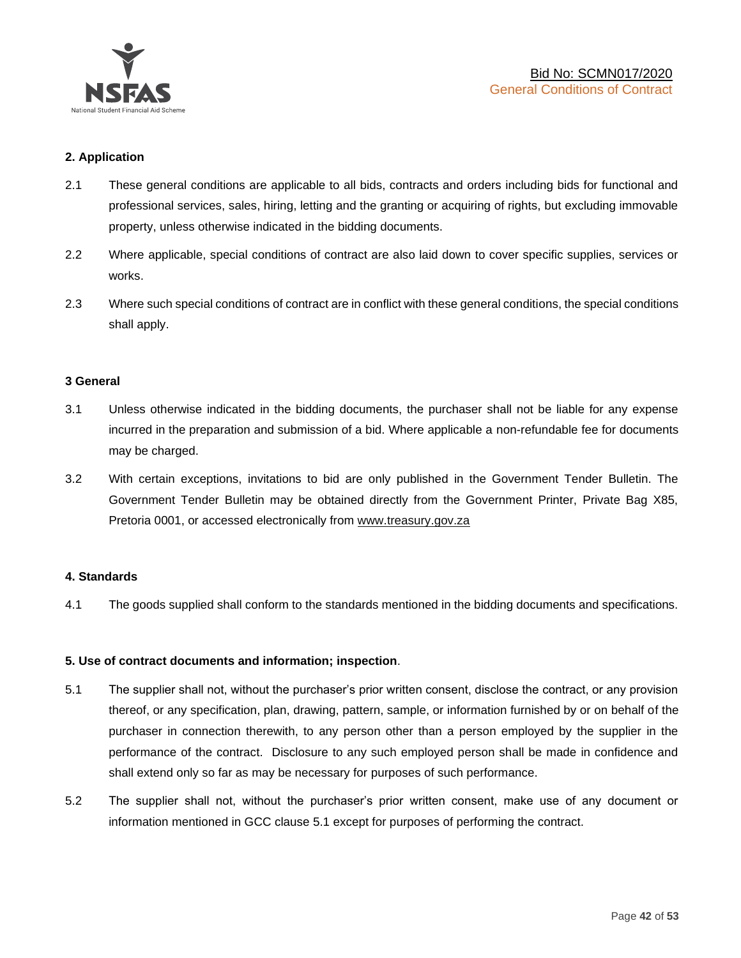

### **2. Application**

- 2.1 These general conditions are applicable to all bids, contracts and orders including bids for functional and professional services, sales, hiring, letting and the granting or acquiring of rights, but excluding immovable property, unless otherwise indicated in the bidding documents.
- 2.2 Where applicable, special conditions of contract are also laid down to cover specific supplies, services or works.
- 2.3 Where such special conditions of contract are in conflict with these general conditions, the special conditions shall apply.

### **3 General**

- 3.1 Unless otherwise indicated in the bidding documents, the purchaser shall not be liable for any expense incurred in the preparation and submission of a bid. Where applicable a non-refundable fee for documents may be charged.
- 3.2 With certain exceptions, invitations to bid are only published in the Government Tender Bulletin. The Government Tender Bulletin may be obtained directly from the Government Printer, Private Bag X85, Pretoria 0001, or accessed electronically from [www.treasury.gov.za](http://www.treasury.gov.za/)

### **4. Standards**

4.1 The goods supplied shall conform to the standards mentioned in the bidding documents and specifications.

### **5. Use of contract documents and information; inspection**.

- 5.1 The supplier shall not, without the purchaser's prior written consent, disclose the contract, or any provision thereof, or any specification, plan, drawing, pattern, sample, or information furnished by or on behalf of the purchaser in connection therewith, to any person other than a person employed by the supplier in the performance of the contract. Disclosure to any such employed person shall be made in confidence and shall extend only so far as may be necessary for purposes of such performance.
- 5.2 The supplier shall not, without the purchaser's prior written consent, make use of any document or information mentioned in GCC clause 5.1 except for purposes of performing the contract.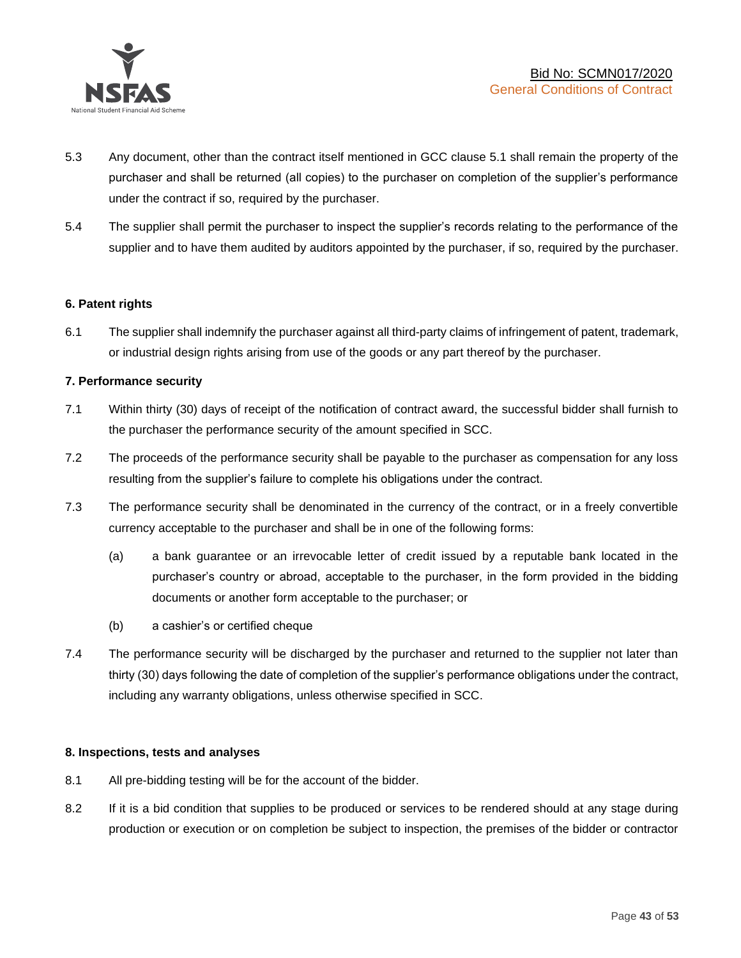

- 5.3 Any document, other than the contract itself mentioned in GCC clause 5.1 shall remain the property of the purchaser and shall be returned (all copies) to the purchaser on completion of the supplier's performance under the contract if so, required by the purchaser.
- 5.4 The supplier shall permit the purchaser to inspect the supplier's records relating to the performance of the supplier and to have them audited by auditors appointed by the purchaser, if so, required by the purchaser.

### **6. Patent rights**

6.1 The supplier shall indemnify the purchaser against all third-party claims of infringement of patent, trademark, or industrial design rights arising from use of the goods or any part thereof by the purchaser.

### **7. Performance security**

- 7.1 Within thirty (30) days of receipt of the notification of contract award, the successful bidder shall furnish to the purchaser the performance security of the amount specified in SCC.
- 7.2 The proceeds of the performance security shall be payable to the purchaser as compensation for any loss resulting from the supplier's failure to complete his obligations under the contract.
- 7.3 The performance security shall be denominated in the currency of the contract, or in a freely convertible currency acceptable to the purchaser and shall be in one of the following forms:
	- (a) a bank guarantee or an irrevocable letter of credit issued by a reputable bank located in the purchaser's country or abroad, acceptable to the purchaser, in the form provided in the bidding documents or another form acceptable to the purchaser; or
	- (b) a cashier's or certified cheque
- 7.4 The performance security will be discharged by the purchaser and returned to the supplier not later than thirty (30) days following the date of completion of the supplier's performance obligations under the contract, including any warranty obligations, unless otherwise specified in SCC.

### **8. Inspections, tests and analyses**

- 8.1 All pre-bidding testing will be for the account of the bidder.
- 8.2 If it is a bid condition that supplies to be produced or services to be rendered should at any stage during production or execution or on completion be subject to inspection, the premises of the bidder or contractor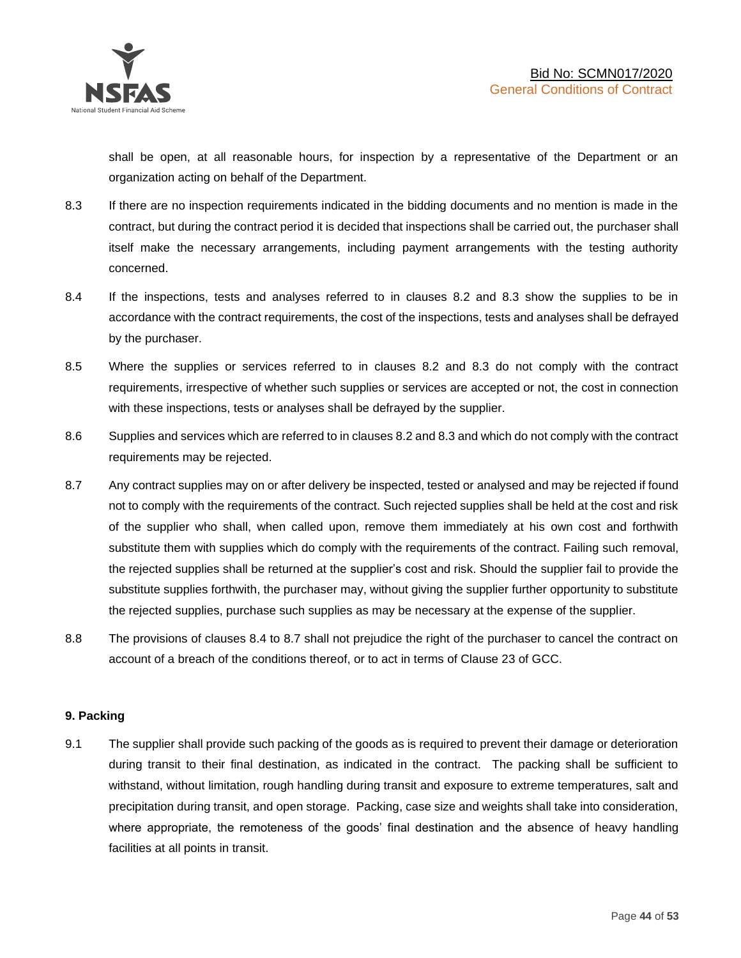shall be open, at all reasonable hours, for inspection by a representative of the Department or an organization acting on behalf of the Department.

- 8.3 If there are no inspection requirements indicated in the bidding documents and no mention is made in the contract, but during the contract period it is decided that inspections shall be carried out, the purchaser shall itself make the necessary arrangements, including payment arrangements with the testing authority concerned.
- 8.4 If the inspections, tests and analyses referred to in clauses 8.2 and 8.3 show the supplies to be in accordance with the contract requirements, the cost of the inspections, tests and analyses shall be defrayed by the purchaser.
- 8.5 Where the supplies or services referred to in clauses 8.2 and 8.3 do not comply with the contract requirements, irrespective of whether such supplies or services are accepted or not, the cost in connection with these inspections, tests or analyses shall be defrayed by the supplier.
- 8.6 Supplies and services which are referred to in clauses 8.2 and 8.3 and which do not comply with the contract requirements may be rejected.
- 8.7 Any contract supplies may on or after delivery be inspected, tested or analysed and may be rejected if found not to comply with the requirements of the contract. Such rejected supplies shall be held at the cost and risk of the supplier who shall, when called upon, remove them immediately at his own cost and forthwith substitute them with supplies which do comply with the requirements of the contract. Failing such removal, the rejected supplies shall be returned at the supplier's cost and risk. Should the supplier fail to provide the substitute supplies forthwith, the purchaser may, without giving the supplier further opportunity to substitute the rejected supplies, purchase such supplies as may be necessary at the expense of the supplier.
- 8.8 The provisions of clauses 8.4 to 8.7 shall not prejudice the right of the purchaser to cancel the contract on account of a breach of the conditions thereof, or to act in terms of Clause 23 of GCC.

### **9. Packing**

9.1 The supplier shall provide such packing of the goods as is required to prevent their damage or deterioration during transit to their final destination, as indicated in the contract. The packing shall be sufficient to withstand, without limitation, rough handling during transit and exposure to extreme temperatures, salt and precipitation during transit, and open storage. Packing, case size and weights shall take into consideration, where appropriate, the remoteness of the goods' final destination and the absence of heavy handling facilities at all points in transit.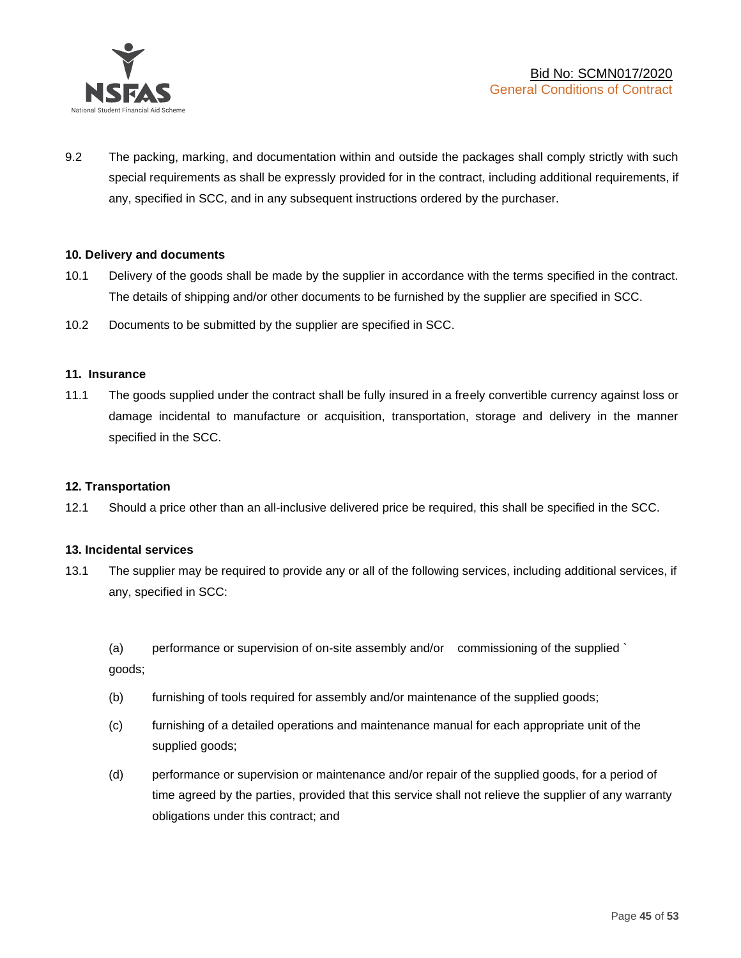

9.2 The packing, marking, and documentation within and outside the packages shall comply strictly with such special requirements as shall be expressly provided for in the contract, including additional requirements, if any, specified in SCC, and in any subsequent instructions ordered by the purchaser.

### **10. Delivery and documents**

- 10.1 Delivery of the goods shall be made by the supplier in accordance with the terms specified in the contract. The details of shipping and/or other documents to be furnished by the supplier are specified in SCC.
- 10.2 Documents to be submitted by the supplier are specified in SCC.

### **11. Insurance**

11.1 The goods supplied under the contract shall be fully insured in a freely convertible currency against loss or damage incidental to manufacture or acquisition, transportation, storage and delivery in the manner specified in the SCC.

### **12. Transportation**

12.1 Should a price other than an all-inclusive delivered price be required, this shall be specified in the SCC.

### **13. Incidental services**

13.1 The supplier may be required to provide any or all of the following services, including additional services, if any, specified in SCC:

(a) performance or supervision of on-site assembly and/or commissioning of the supplied ` goods;

- (b) furnishing of tools required for assembly and/or maintenance of the supplied goods;
- (c) furnishing of a detailed operations and maintenance manual for each appropriate unit of the supplied goods;
- (d) performance or supervision or maintenance and/or repair of the supplied goods, for a period of time agreed by the parties, provided that this service shall not relieve the supplier of any warranty obligations under this contract; and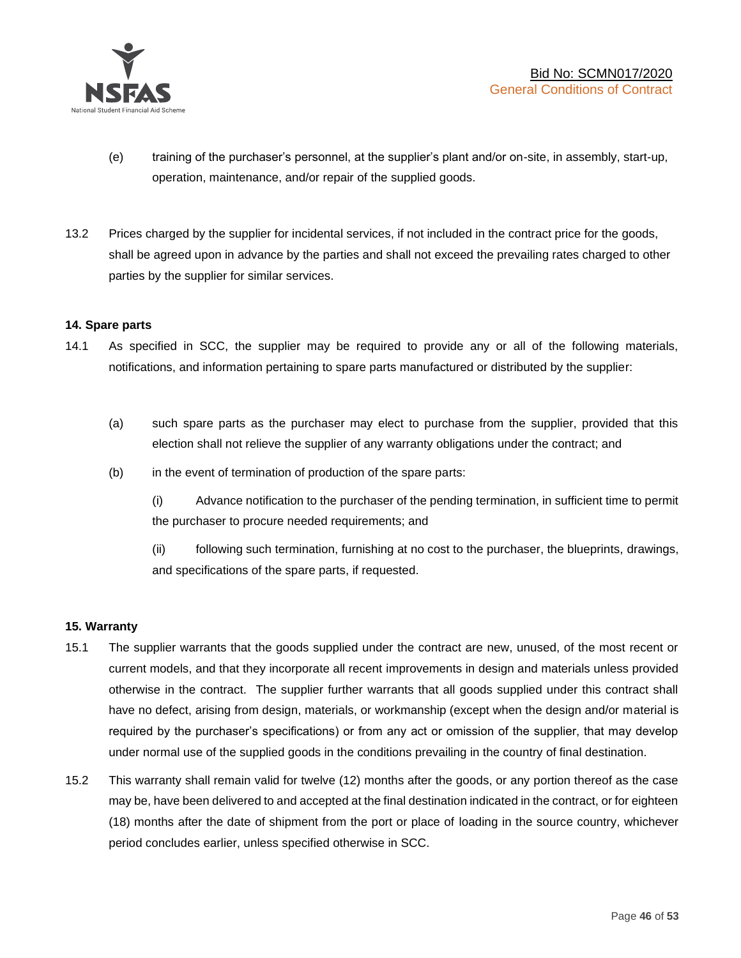

- (e) training of the purchaser's personnel, at the supplier's plant and/or on-site, in assembly, start-up, operation, maintenance, and/or repair of the supplied goods.
- 13.2 Prices charged by the supplier for incidental services, if not included in the contract price for the goods, shall be agreed upon in advance by the parties and shall not exceed the prevailing rates charged to other parties by the supplier for similar services.

### **14. Spare parts**

- 14.1 As specified in SCC, the supplier may be required to provide any or all of the following materials, notifications, and information pertaining to spare parts manufactured or distributed by the supplier:
	- (a) such spare parts as the purchaser may elect to purchase from the supplier, provided that this election shall not relieve the supplier of any warranty obligations under the contract; and
	- (b) in the event of termination of production of the spare parts:

(i) Advance notification to the purchaser of the pending termination, in sufficient time to permit the purchaser to procure needed requirements; and

(ii) following such termination, furnishing at no cost to the purchaser, the blueprints, drawings, and specifications of the spare parts, if requested.

### **15. Warranty**

- 15.1 The supplier warrants that the goods supplied under the contract are new, unused, of the most recent or current models, and that they incorporate all recent improvements in design and materials unless provided otherwise in the contract. The supplier further warrants that all goods supplied under this contract shall have no defect, arising from design, materials, or workmanship (except when the design and/or material is required by the purchaser's specifications) or from any act or omission of the supplier, that may develop under normal use of the supplied goods in the conditions prevailing in the country of final destination.
- 15.2 This warranty shall remain valid for twelve (12) months after the goods, or any portion thereof as the case may be, have been delivered to and accepted at the final destination indicated in the contract, or for eighteen (18) months after the date of shipment from the port or place of loading in the source country, whichever period concludes earlier, unless specified otherwise in SCC.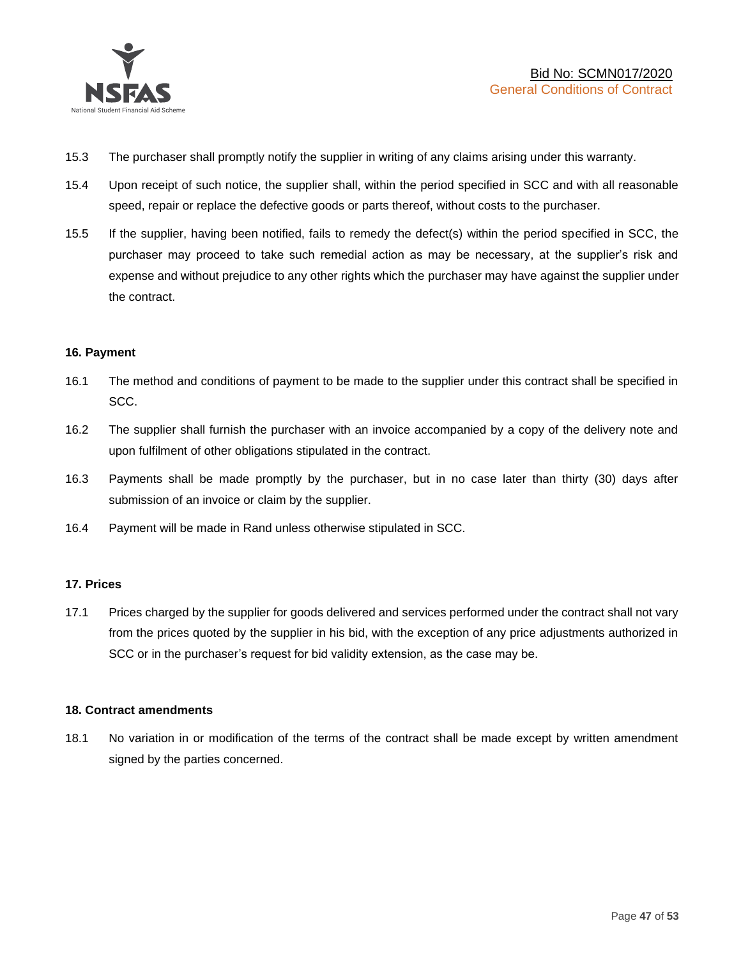

- 15.3 The purchaser shall promptly notify the supplier in writing of any claims arising under this warranty.
- 15.4 Upon receipt of such notice, the supplier shall, within the period specified in SCC and with all reasonable speed, repair or replace the defective goods or parts thereof, without costs to the purchaser.
- 15.5 If the supplier, having been notified, fails to remedy the defect(s) within the period specified in SCC, the purchaser may proceed to take such remedial action as may be necessary, at the supplier's risk and expense and without prejudice to any other rights which the purchaser may have against the supplier under the contract.

### **16. Payment**

- 16.1 The method and conditions of payment to be made to the supplier under this contract shall be specified in SCC.
- 16.2 The supplier shall furnish the purchaser with an invoice accompanied by a copy of the delivery note and upon fulfilment of other obligations stipulated in the contract.
- 16.3 Payments shall be made promptly by the purchaser, but in no case later than thirty (30) days after submission of an invoice or claim by the supplier.
- 16.4 Payment will be made in Rand unless otherwise stipulated in SCC.

### **17. Prices**

17.1 Prices charged by the supplier for goods delivered and services performed under the contract shall not vary from the prices quoted by the supplier in his bid, with the exception of any price adjustments authorized in SCC or in the purchaser's request for bid validity extension, as the case may be.

### **18. Contract amendments**

18.1 No variation in or modification of the terms of the contract shall be made except by written amendment signed by the parties concerned.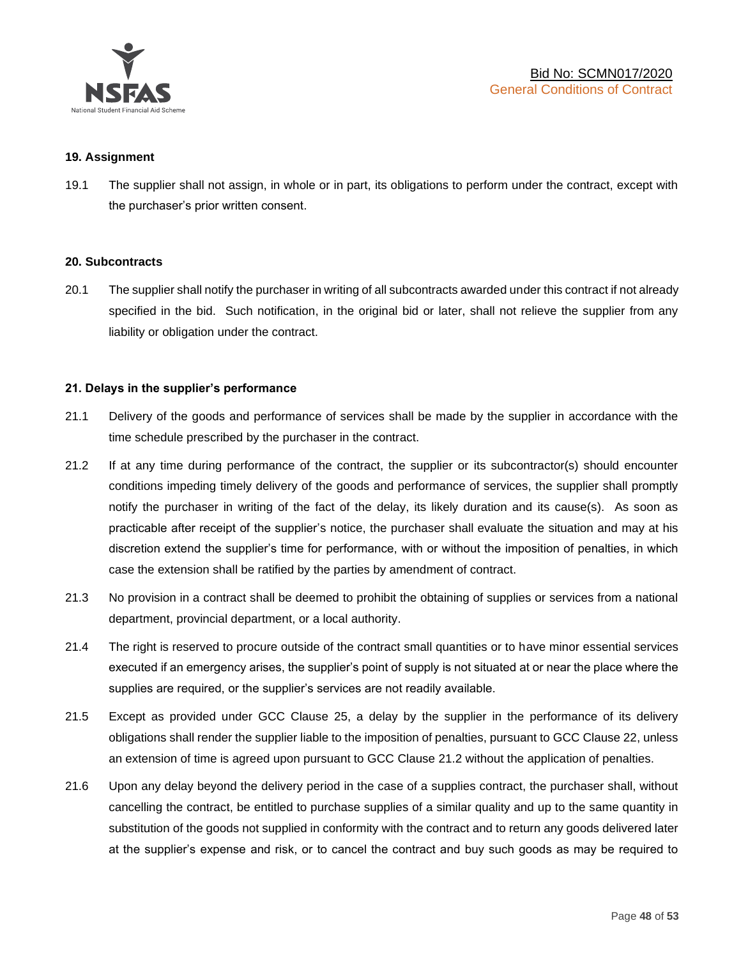

### **19. Assignment**

19.1 The supplier shall not assign, in whole or in part, its obligations to perform under the contract, except with the purchaser's prior written consent.

#### **20. Subcontracts**

20.1 The supplier shall notify the purchaser in writing of all subcontracts awarded under this contract if not already specified in the bid. Such notification, in the original bid or later, shall not relieve the supplier from any liability or obligation under the contract.

### **21. Delays in the supplier's performance**

- 21.1 Delivery of the goods and performance of services shall be made by the supplier in accordance with the time schedule prescribed by the purchaser in the contract.
- 21.2 If at any time during performance of the contract, the supplier or its subcontractor(s) should encounter conditions impeding timely delivery of the goods and performance of services, the supplier shall promptly notify the purchaser in writing of the fact of the delay, its likely duration and its cause(s). As soon as practicable after receipt of the supplier's notice, the purchaser shall evaluate the situation and may at his discretion extend the supplier's time for performance, with or without the imposition of penalties, in which case the extension shall be ratified by the parties by amendment of contract.
- 21.3 No provision in a contract shall be deemed to prohibit the obtaining of supplies or services from a national department, provincial department, or a local authority.
- 21.4 The right is reserved to procure outside of the contract small quantities or to have minor essential services executed if an emergency arises, the supplier's point of supply is not situated at or near the place where the supplies are required, or the supplier's services are not readily available.
- 21.5 Except as provided under GCC Clause 25, a delay by the supplier in the performance of its delivery obligations shall render the supplier liable to the imposition of penalties, pursuant to GCC Clause 22, unless an extension of time is agreed upon pursuant to GCC Clause 21.2 without the application of penalties.
- 21.6 Upon any delay beyond the delivery period in the case of a supplies contract, the purchaser shall, without cancelling the contract, be entitled to purchase supplies of a similar quality and up to the same quantity in substitution of the goods not supplied in conformity with the contract and to return any goods delivered later at the supplier's expense and risk, or to cancel the contract and buy such goods as may be required to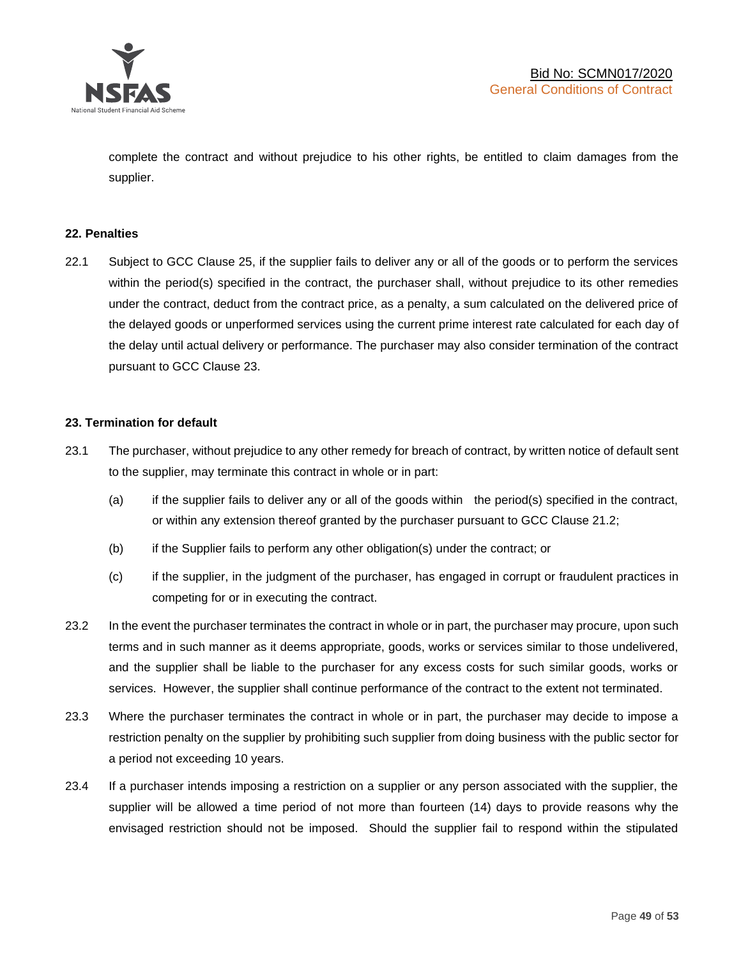

complete the contract and without prejudice to his other rights, be entitled to claim damages from the supplier.

### **22. Penalties**

22.1 Subject to GCC Clause 25, if the supplier fails to deliver any or all of the goods or to perform the services within the period(s) specified in the contract, the purchaser shall, without prejudice to its other remedies under the contract, deduct from the contract price, as a penalty, a sum calculated on the delivered price of the delayed goods or unperformed services using the current prime interest rate calculated for each day of the delay until actual delivery or performance. The purchaser may also consider termination of the contract pursuant to GCC Clause 23.

### **23. Termination for default**

- 23.1 The purchaser, without prejudice to any other remedy for breach of contract, by written notice of default sent to the supplier, may terminate this contract in whole or in part:
	- (a) if the supplier fails to deliver any or all of the goods within the period(s) specified in the contract, or within any extension thereof granted by the purchaser pursuant to GCC Clause 21.2;
	- (b) if the Supplier fails to perform any other obligation(s) under the contract; or
	- (c) if the supplier, in the judgment of the purchaser, has engaged in corrupt or fraudulent practices in competing for or in executing the contract.
- 23.2 In the event the purchaser terminates the contract in whole or in part, the purchaser may procure, upon such terms and in such manner as it deems appropriate, goods, works or services similar to those undelivered, and the supplier shall be liable to the purchaser for any excess costs for such similar goods, works or services. However, the supplier shall continue performance of the contract to the extent not terminated.
- 23.3 Where the purchaser terminates the contract in whole or in part, the purchaser may decide to impose a restriction penalty on the supplier by prohibiting such supplier from doing business with the public sector for a period not exceeding 10 years.
- 23.4 If a purchaser intends imposing a restriction on a supplier or any person associated with the supplier, the supplier will be allowed a time period of not more than fourteen (14) days to provide reasons why the envisaged restriction should not be imposed. Should the supplier fail to respond within the stipulated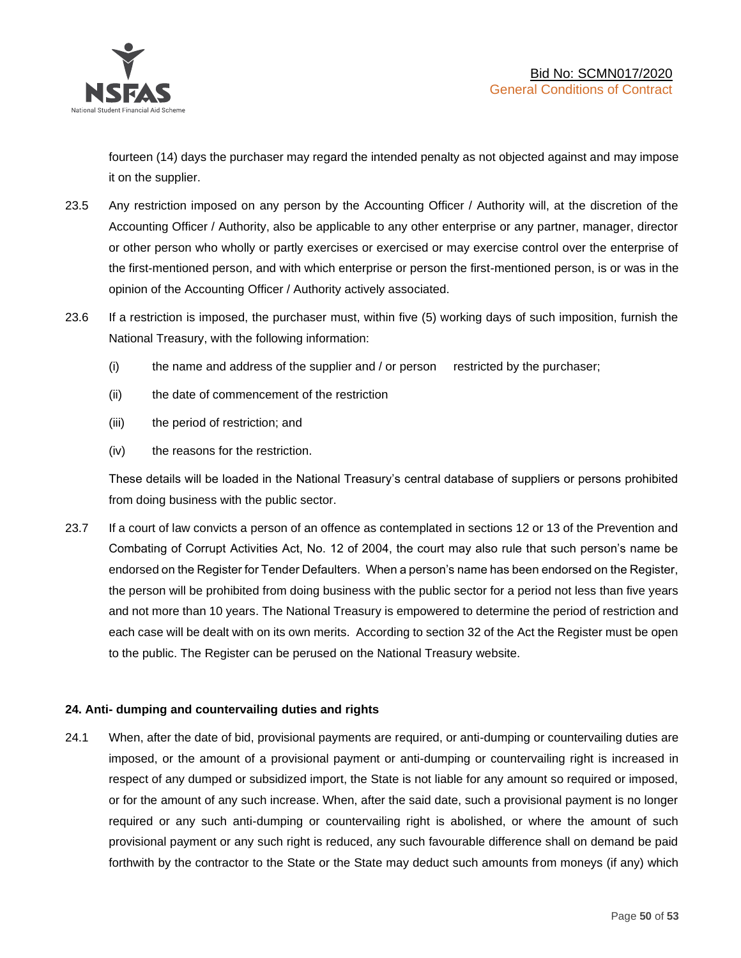

fourteen (14) days the purchaser may regard the intended penalty as not objected against and may impose it on the supplier.

- 23.5 Any restriction imposed on any person by the Accounting Officer / Authority will, at the discretion of the Accounting Officer / Authority, also be applicable to any other enterprise or any partner, manager, director or other person who wholly or partly exercises or exercised or may exercise control over the enterprise of the first-mentioned person, and with which enterprise or person the first-mentioned person, is or was in the opinion of the Accounting Officer / Authority actively associated.
- 23.6 If a restriction is imposed, the purchaser must, within five (5) working days of such imposition, furnish the National Treasury, with the following information:
	- (i) the name and address of the supplier and / or person restricted by the purchaser;
	- (ii) the date of commencement of the restriction
	- (iii) the period of restriction; and
	- (iv) the reasons for the restriction.

These details will be loaded in the National Treasury's central database of suppliers or persons prohibited from doing business with the public sector.

23.7 If a court of law convicts a person of an offence as contemplated in sections 12 or 13 of the Prevention and Combating of Corrupt Activities Act, No. 12 of 2004, the court may also rule that such person's name be endorsed on the Register for Tender Defaulters. When a person's name has been endorsed on the Register, the person will be prohibited from doing business with the public sector for a period not less than five years and not more than 10 years. The National Treasury is empowered to determine the period of restriction and each case will be dealt with on its own merits. According to section 32 of the Act the Register must be open to the public. The Register can be perused on the National Treasury website.

### **24. Anti- dumping and countervailing duties and rights**

24.1 When, after the date of bid, provisional payments are required, or anti-dumping or countervailing duties are imposed, or the amount of a provisional payment or anti-dumping or countervailing right is increased in respect of any dumped or subsidized import, the State is not liable for any amount so required or imposed, or for the amount of any such increase. When, after the said date, such a provisional payment is no longer required or any such anti-dumping or countervailing right is abolished, or where the amount of such provisional payment or any such right is reduced, any such favourable difference shall on demand be paid forthwith by the contractor to the State or the State may deduct such amounts from moneys (if any) which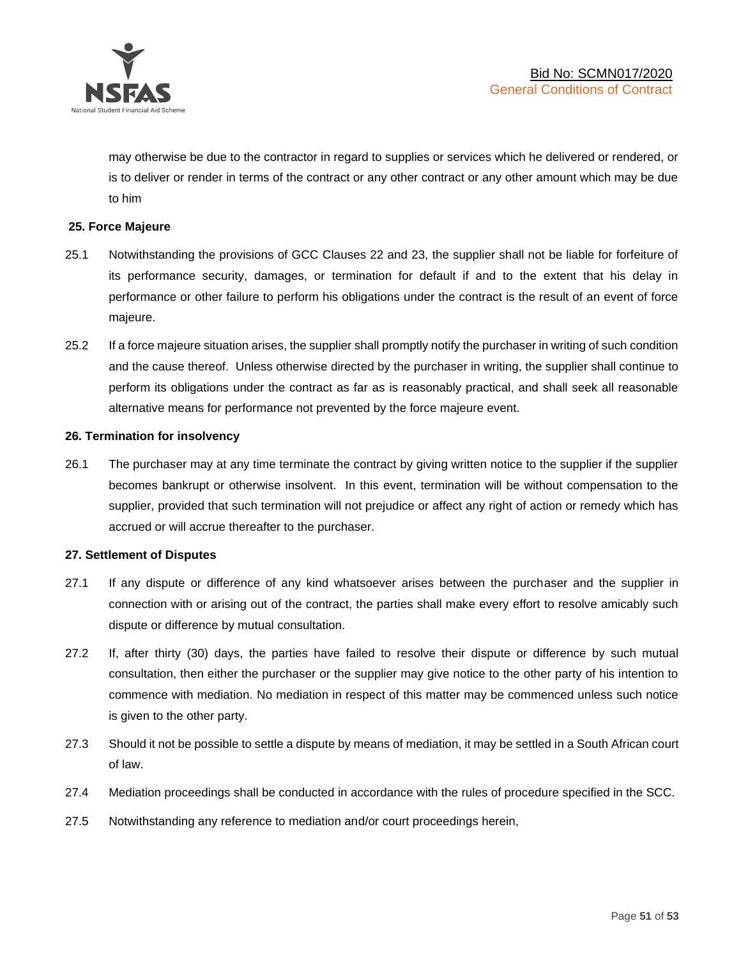

may otherwise be due to the contractor in regard to supplies or services which he delivered or rendered, or is to deliver or render in terms of the contract or any other contract or any other amount which may be due to him

### **25. Force Majeure**

- 25.1 Notwithstanding the provisions of GCC Clauses 22 and 23, the supplier shall not be liable for forfeiture of its performance security, damages, or termination for default if and to the extent that his delay in performance or other failure to perform his obligations under the contract is the result of an event of force majeure.
- 25.2 If a force majeure situation arises, the supplier shall promptly notify the purchaser in writing of such condition and the cause thereof. Unless otherwise directed by the purchaser in writing, the supplier shall continue to perform its obligations under the contract as far as is reasonably practical, and shall seek all reasonable alternative means for performance not prevented by the force majeure event.

#### **26. Termination for insolvency**

26.1 The purchaser may at any time terminate the contract by giving written notice to the supplier if the supplier becomes bankrupt or otherwise insolvent. In this event, termination will be without compensation to the supplier, provided that such termination will not prejudice or affect any right of action or remedy which has accrued or will accrue thereafter to the purchaser.

#### **27. Settlement of Disputes**

- 27.1 If any dispute or difference of any kind whatsoever arises between the purchaser and the supplier in connection with or arising out of the contract, the parties shall make every effort to resolve amicably such dispute or difference by mutual consultation.
- 27.2 If, after thirty (30) days, the parties have failed to resolve their dispute or difference by such mutual consultation, then either the purchaser or the supplier may give notice to the other party of his intention to commence with mediation. No mediation in respect of this matter may be commenced unless such notice is given to the other party.
- 27.3 Should it not be possible to settle a dispute by means of mediation, it may be settled in a South African court of law.
- 27.4 Mediation proceedings shall be conducted in accordance with the rules of procedure specified in the SCC.
- 27.5 Notwithstanding any reference to mediation and/or court proceedings herein,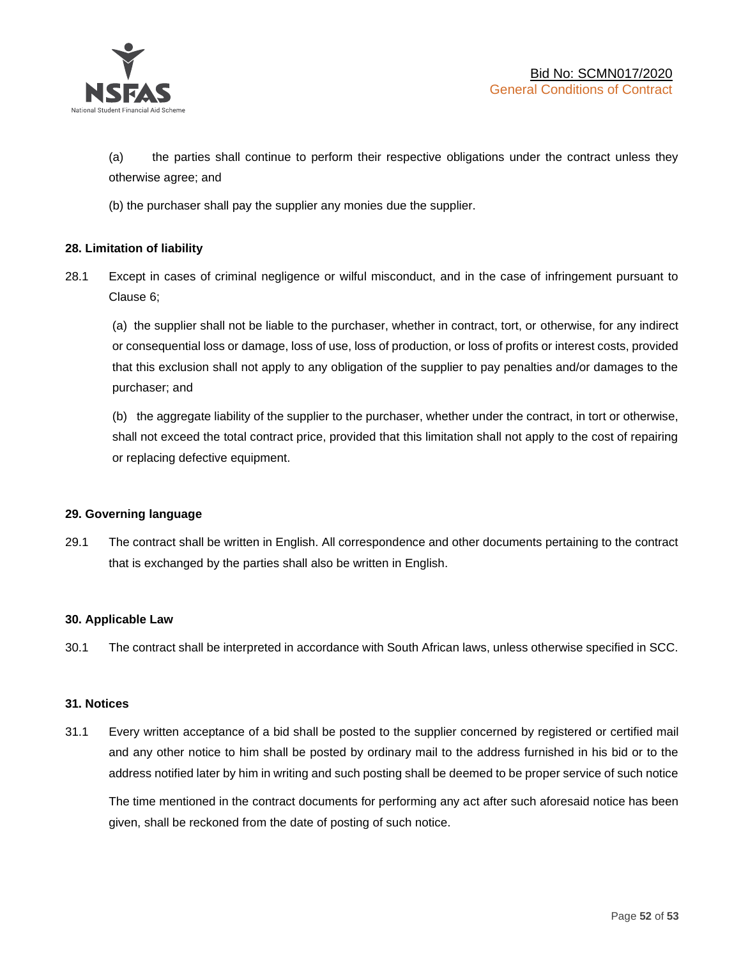

(a) the parties shall continue to perform their respective obligations under the contract unless they otherwise agree; and

(b) the purchaser shall pay the supplier any monies due the supplier.

### **28. Limitation of liability**

28.1 Except in cases of criminal negligence or wilful misconduct, and in the case of infringement pursuant to Clause 6;

(a) the supplier shall not be liable to the purchaser, whether in contract, tort, or otherwise, for any indirect or consequential loss or damage, loss of use, loss of production, or loss of profits or interest costs, provided that this exclusion shall not apply to any obligation of the supplier to pay penalties and/or damages to the purchaser; and

(b) the aggregate liability of the supplier to the purchaser, whether under the contract, in tort or otherwise, shall not exceed the total contract price, provided that this limitation shall not apply to the cost of repairing or replacing defective equipment.

### **29. Governing language**

29.1 The contract shall be written in English. All correspondence and other documents pertaining to the contract that is exchanged by the parties shall also be written in English.

### **30. Applicable Law**

30.1 The contract shall be interpreted in accordance with South African laws, unless otherwise specified in SCC.

### **31. Notices**

31.1 Every written acceptance of a bid shall be posted to the supplier concerned by registered or certified mail and any other notice to him shall be posted by ordinary mail to the address furnished in his bid or to the address notified later by him in writing and such posting shall be deemed to be proper service of such notice

The time mentioned in the contract documents for performing any act after such aforesaid notice has been given, shall be reckoned from the date of posting of such notice.